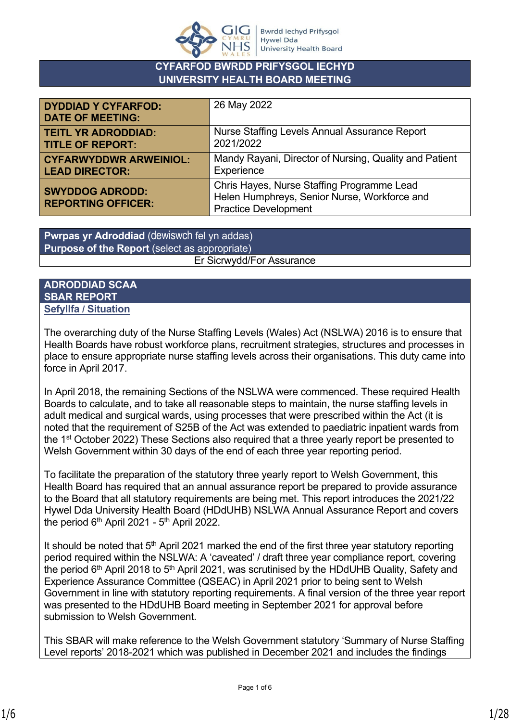

## **CYFARFOD BWRDD PRIFYSGOL IECHYD UNIVERSITY HEALTH BOARD MEETING**

| <b>DYDDIAD Y CYFARFOD:</b><br><b>DATE OF MEETING:</b> | 26 May 2022                                                                                                               |
|-------------------------------------------------------|---------------------------------------------------------------------------------------------------------------------------|
| <b>TEITL YR ADRODDIAD:</b>                            | Nurse Staffing Levels Annual Assurance Report                                                                             |
| <b>TITLE OF REPORT:</b>                               | 2021/2022                                                                                                                 |
| <b>CYFARWYDDWR ARWEINIOL:</b>                         | Mandy Rayani, Director of Nursing, Quality and Patient                                                                    |
| <b>LEAD DIRECTOR:</b>                                 | Experience                                                                                                                |
| <b>SWYDDOG ADRODD:</b><br><b>REPORTING OFFICER:</b>   | Chris Hayes, Nurse Staffing Programme Lead<br>Helen Humphreys, Senior Nurse, Workforce and<br><b>Practice Development</b> |

**Purpose of the Report** (select as appropriate) senior Nurse, Workforce and Practice and Presence and Practice Development of Development Development of Develo **Pwrpas yr Adroddiad** (dewiswch fel yn addas)

### **ADRODDIAD SCAA SBAR REPORT Sefyllfa / Situation**

The overarching duty of the Nurse Staffing Levels (Wales) Act (NSLWA) 2016 is to ensure that Health Boards have robust workforce plans, recruitment strategies, structures and processes in place to ensure appropriate nurse staffing levels across their organisations. This duty came into force in April 2017.

In April 2018, the remaining Sections of the NSLWA were commenced. These required Health Boards to calculate, and to take all reasonable steps to maintain, the nurse staffing levels in adult medical and surgical wards, using processes that were prescribed within the Act (it is noted that the requirement of S25B of the Act was extended to paediatric inpatient wards from the 1st October 2022) These Sections also required that a three yearly report be presented to Welsh Government within 30 days of the end of each three year reporting period.

To facilitate the preparation of the statutory three yearly report to Welsh Government, this Health Board has required that an annual assurance report be prepared to provide assurance to the Board that all statutory requirements are being met. This report introduces the 2021/22 Hywel Dda University Health Board (HDdUHB) NSLWA Annual Assurance Report and covers the period  $6<sup>th</sup>$  April 2021 -  $5<sup>th</sup>$  April 2022.

It should be noted that  $5<sup>th</sup>$  April 2021 marked the end of the first three year statutory reporting period required within the NSLWA: A 'caveated' / draft three year compliance report, covering the period  $6<sup>th</sup>$  April 2018 to  $5<sup>th</sup>$  April 2021, was scrutinised by the HDdUHB Quality, Safety and Experience Assurance Committee (QSEAC) in April 2021 prior to being sent to Welsh Government in line with statutory reporting requirements. A final version of the three year report was presented to the HDdUHB Board meeting in September 2021 for approval before submission to Welsh Government.

This SBAR will make reference to the Welsh Government statutory 'Summary of Nurse Staffing Level reports' 2018-2021 which was published in December 2021 and includes the findings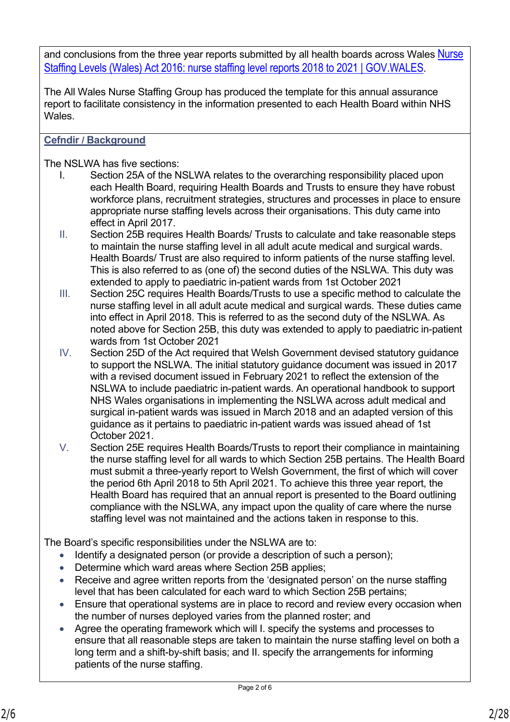and conclusions from the three year reports submitted by all health boards across Wales Nurse [Staffing Levels \(Wales\) Act 2016: nurse staffing level reports 2018 to 2021 | GOV.WALES](https://gov.wales/nurse-staffing-levels-wales-act-2016-nurse-staffing-level-reports-2018-2021).

The All Wales Nurse Staffing Group has produced the template for this annual assurance report to facilitate consistency in the information presented to each Health Board within NHS Wales.

# **Cefndir / Background**

The NSLWA has five sections:

- I. Section 25A of the NSLWA relates to the overarching responsibility placed upon each Health Board, requiring Health Boards and Trusts to ensure they have robust workforce plans, recruitment strategies, structures and processes in place to ensure appropriate nurse staffing levels across their organisations. This duty came into effect in April 2017.
- II. Section 25B requires Health Boards/ Trusts to calculate and take reasonable steps to maintain the nurse staffing level in all adult acute medical and surgical wards. Health Boards/ Trust are also required to inform patients of the nurse staffing level. This is also referred to as (one of) the second duties of the NSLWA. This duty was extended to apply to paediatric in-patient wards from 1st October 2021
- III. Section 25C requires Health Boards/Trusts to use a specific method to calculate the nurse staffing level in all adult acute medical and surgical wards. These duties came into effect in April 2018. This is referred to as the second duty of the NSLWA. As noted above for Section 25B, this duty was extended to apply to paediatric in-patient wards from 1st October 2021
- IV. Section 25D of the Act required that Welsh Government devised statutory guidance to support the NSLWA. The initial statutory guidance document was issued in 2017 with a revised document issued in February 2021 to reflect the extension of the NSLWA to include paediatric in-patient wards. An operational handbook to support NHS Wales organisations in implementing the NSLWA across adult medical and surgical in-patient wards was issued in March 2018 and an adapted version of this guidance as it pertains to paediatric in-patient wards was issued ahead of 1st October 2021.
- V. Section 25E requires Health Boards/Trusts to report their compliance in maintaining the nurse staffing level for all wards to which Section 25B pertains. The Health Board must submit a three-yearly report to Welsh Government, the first of which will cover the period 6th April 2018 to 5th April 2021. To achieve this three year report, the Health Board has required that an annual report is presented to the Board outlining compliance with the NSLWA, any impact upon the quality of care where the nurse staffing level was not maintained and the actions taken in response to this.

The Board's specific responsibilities under the NSLWA are to:

- Identify a designated person (or provide a description of such a person);
- Determine which ward areas where Section 25B applies;
- Receive and agree written reports from the 'designated person' on the nurse staffing level that has been calculated for each ward to which Section 25B pertains;
- Ensure that operational systems are in place to record and review every occasion when the number of nurses deployed varies from the planned roster; and
- Agree the operating framework which will I. specify the systems and processes to ensure that all reasonable steps are taken to maintain the nurse staffing level on both a long term and a shift-by-shift basis; and II. specify the arrangements for informing patients of the nurse staffing.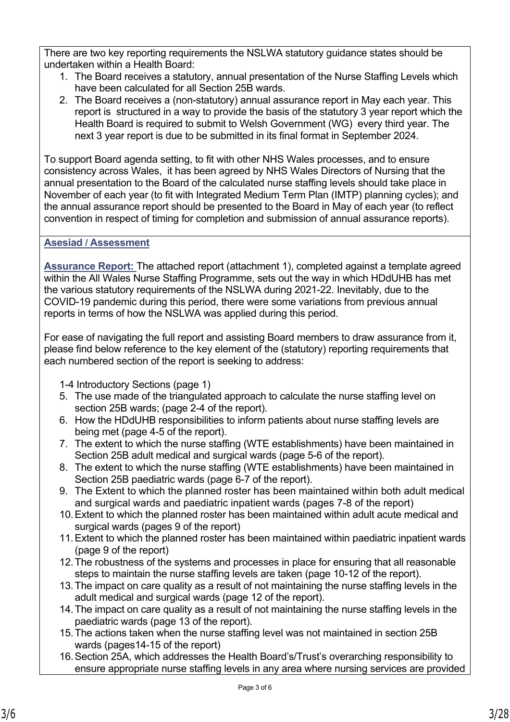There are two key reporting requirements the NSLWA statutory guidance states should be undertaken within a Health Board:

- 1. The Board receives a statutory, annual presentation of the Nurse Staffing Levels which have been calculated for all Section 25B wards.
- 2. The Board receives a (non-statutory) annual assurance report in May each year. This report is structured in a way to provide the basis of the statutory 3 year report which the Health Board is required to submit to Welsh Government (WG) every third year. The next 3 year report is due to be submitted in its final format in September 2024.

To support Board agenda setting, to fit with other NHS Wales processes, and to ensure consistency across Wales, it has been agreed by NHS Wales Directors of Nursing that the annual presentation to the Board of the calculated nurse staffing levels should take place in November of each year (to fit with Integrated Medium Term Plan (IMTP) planning cycles); and the annual assurance report should be presented to the Board in May of each year (to reflect convention in respect of timing for completion and submission of annual assurance reports).

# **Asesiad / Assessment**

**Assurance Report:** The attached report (attachment 1), completed against a template agreed within the All Wales Nurse Staffing Programme, sets out the way in which HDdUHB has met the various statutory requirements of the NSLWA during 2021-22. Inevitably, due to the COVID-19 pandemic during this period, there were some variations from previous annual reports in terms of how the NSLWA was applied during this period.

For ease of navigating the full report and assisting Board members to draw assurance from it, please find below reference to the key element of the (statutory) reporting requirements that each numbered section of the report is seeking to address:

1-4 Introductory Sections (page 1)

- 5. The use made of the triangulated approach to calculate the nurse staffing level on section 25B wards; (page 2-4 of the report).
- 6. How the HDdUHB responsibilities to inform patients about nurse staffing levels are being met (page 4-5 of the report).
- 7. The extent to which the nurse staffing (WTE establishments) have been maintained in Section 25B adult medical and surgical wards (page 5-6 of the report).
- 8. The extent to which the nurse staffing (WTE establishments) have been maintained in Section 25B paediatric wards (page 6-7 of the report).
- 9. The Extent to which the planned roster has been maintained within both adult medical and surgical wards and paediatric inpatient wards (pages 7-8 of the report)
- 10.Extent to which the planned roster has been maintained within adult acute medical and surgical wards (pages 9 of the report)
- 11.Extent to which the planned roster has been maintained within paediatric inpatient wards (page 9 of the report)
- 12.The robustness of the systems and processes in place for ensuring that all reasonable steps to maintain the nurse staffing levels are taken (page 10-12 of the report).
- 13.The impact on care quality as a result of not maintaining the nurse staffing levels in the adult medical and surgical wards (page 12 of the report).
- 14.The impact on care quality as a result of not maintaining the nurse staffing levels in the paediatric wards (page 13 of the report).
- 15.The actions taken when the nurse staffing level was not maintained in section 25B wards (pages14-15 of the report)
- 16.Section 25A, which addresses the Health Board's/Trust's overarching responsibility to ensure appropriate nurse staffing levels in any area where nursing services are provided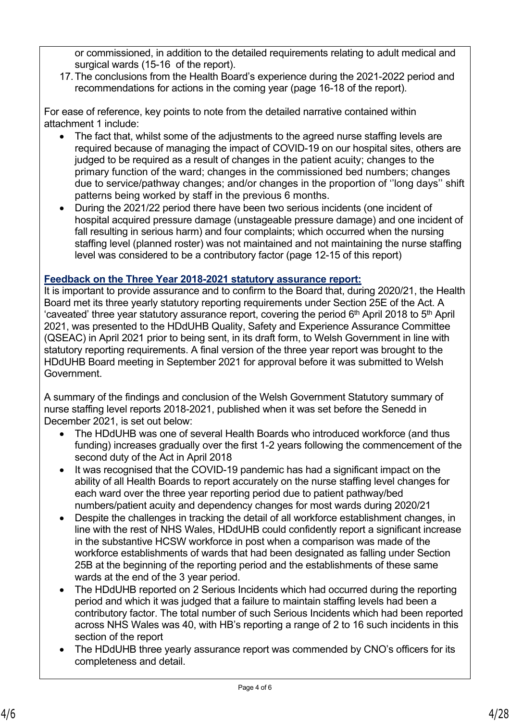or commissioned, in addition to the detailed requirements relating to adult medical and surgical wards (15-16 of the report).

17.The conclusions from the Health Board's experience during the 2021-2022 period and recommendations for actions in the coming year (page 16-18 of the report).

For ease of reference, key points to note from the detailed narrative contained within attachment 1 include:

- The fact that, whilst some of the adjustments to the agreed nurse staffing levels are required because of managing the impact of COVID-19 on our hospital sites, others are judged to be required as a result of changes in the patient acuity; changes to the primary function of the ward; changes in the commissioned bed numbers; changes due to service/pathway changes; and/or changes in the proportion of ''long days'' shift patterns being worked by staff in the previous 6 months.
- During the 2021/22 period there have been two serious incidents (one incident of hospital acquired pressure damage (unstageable pressure damage) and one incident of fall resulting in serious harm) and four complaints; which occurred when the nursing staffing level (planned roster) was not maintained and not maintaining the nurse staffing level was considered to be a contributory factor (page 12-15 of this report)

## **Feedback on the Three Year 2018-2021 statutory assurance report:**

It is important to provide assurance and to confirm to the Board that, during 2020/21, the Health Board met its three yearly statutory reporting requirements under Section 25E of the Act. A 'caveated' three year statutory assurance report, covering the period 6th April 2018 to 5th April 2021, was presented to the HDdUHB Quality, Safety and Experience Assurance Committee (QSEAC) in April 2021 prior to being sent, in its draft form, to Welsh Government in line with statutory reporting requirements. A final version of the three year report was brought to the HDdUHB Board meeting in September 2021 for approval before it was submitted to Welsh Government.

A summary of the findings and conclusion of the Welsh Government Statutory summary of nurse staffing level reports 2018-2021, published when it was set before the Senedd in December 2021, is set out below:

- The HDdUHB was one of several Health Boards who introduced workforce (and thus funding) increases gradually over the first 1-2 years following the commencement of the second duty of the Act in April 2018
- It was recognised that the COVID-19 pandemic has had a significant impact on the ability of all Health Boards to report accurately on the nurse staffing level changes for each ward over the three year reporting period due to patient pathway/bed numbers/patient acuity and dependency changes for most wards during 2020/21
- Despite the challenges in tracking the detail of all workforce establishment changes, in line with the rest of NHS Wales, HDdUHB could confidently report a significant increase in the substantive HCSW workforce in post when a comparison was made of the workforce establishments of wards that had been designated as falling under Section 25B at the beginning of the reporting period and the establishments of these same wards at the end of the 3 year period.
- The HDdUHB reported on 2 Serious Incidents which had occurred during the reporting period and which it was judged that a failure to maintain staffing levels had been a contributory factor. The total number of such Serious Incidents which had been reported across NHS Wales was 40, with HB's reporting a range of 2 to 16 such incidents in this section of the report
- The HDdUHB three yearly assurance report was commended by CNO's officers for its completeness and detail.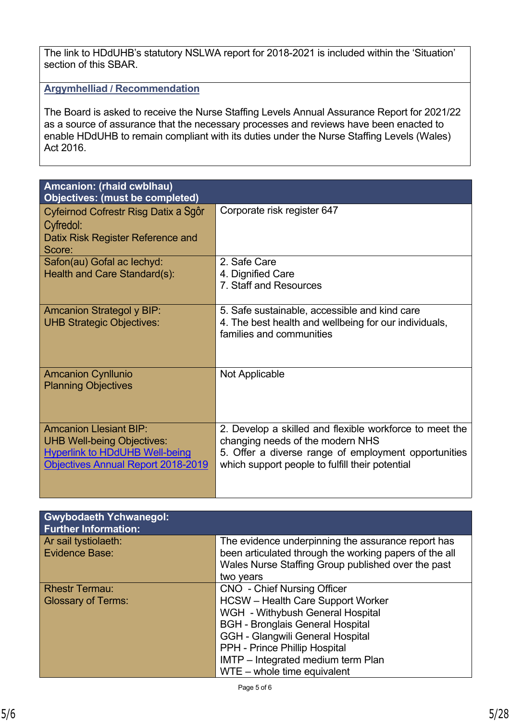The link to HDdUHB's statutory NSLWA report for 2018-2021 is included within the 'Situation' section of this SBAR.

**Argymhelliad / Recommendation**

The Board is asked to receive the Nurse Staffing Levels Annual Assurance Report for 2021/22 as a source of assurance that the necessary processes and reviews have been enacted to enable HDdUHB to remain compliant with its duties under the Nurse Staffing Levels (Wales) Act 2016.

| Amcanion: (rhaid cwblhau)<br><b>Objectives: (must be completed)</b>                                                                               |                                                                                                                                                                                                        |
|---------------------------------------------------------------------------------------------------------------------------------------------------|--------------------------------------------------------------------------------------------------------------------------------------------------------------------------------------------------------|
| Cyfeirnod Cofrestr Risg Datix a Sgôr<br>Cyfredol:<br>Datix Risk Register Reference and<br>Score:                                                  | Corporate risk register 647                                                                                                                                                                            |
| Safon(au) Gofal ac lechyd:<br>Health and Care Standard(s):                                                                                        | 2. Safe Care<br>4. Dignified Care<br>7. Staff and Resources                                                                                                                                            |
| <b>Amcanion Strategol y BIP:</b><br><b>UHB Strategic Objectives:</b>                                                                              | 5. Safe sustainable, accessible and kind care<br>4. The best health and wellbeing for our individuals,<br>families and communities                                                                     |
| <b>Amcanion Cynllunio</b><br><b>Planning Objectives</b>                                                                                           | Not Applicable                                                                                                                                                                                         |
| <b>Amcanion Llesiant BIP:</b><br><b>UHB Well-being Objectives:</b><br><b>Hyperlink to HDdUHB Well-being</b><br>Objectives Annual Report 2018-2019 | 2. Develop a skilled and flexible workforce to meet the<br>changing needs of the modern NHS<br>5. Offer a diverse range of employment opportunities<br>which support people to fulfill their potential |

| <b>Gwybodaeth Ychwanegol:</b><br><b>Further Information:</b> |                                                                                                                                                                                                                                                                                                                  |
|--------------------------------------------------------------|------------------------------------------------------------------------------------------------------------------------------------------------------------------------------------------------------------------------------------------------------------------------------------------------------------------|
| Ar sail tystiolaeth:<br><b>Evidence Base:</b>                | The evidence underpinning the assurance report has<br>been articulated through the working papers of the all<br>Wales Nurse Staffing Group published over the past<br>two years                                                                                                                                  |
| <b>Rhestr Termau:</b><br><b>Glossary of Terms:</b>           | <b>CNO</b> - Chief Nursing Officer<br><b>HCSW</b> – Health Care Support Worker<br>WGH - Withybush General Hospital<br><b>BGH - Bronglais General Hospital</b><br><b>GGH - Glangwili General Hospital</b><br>PPH - Prince Phillip Hospital<br>IMTP - Integrated medium term Plan<br>$WTE - whole$ time equivalent |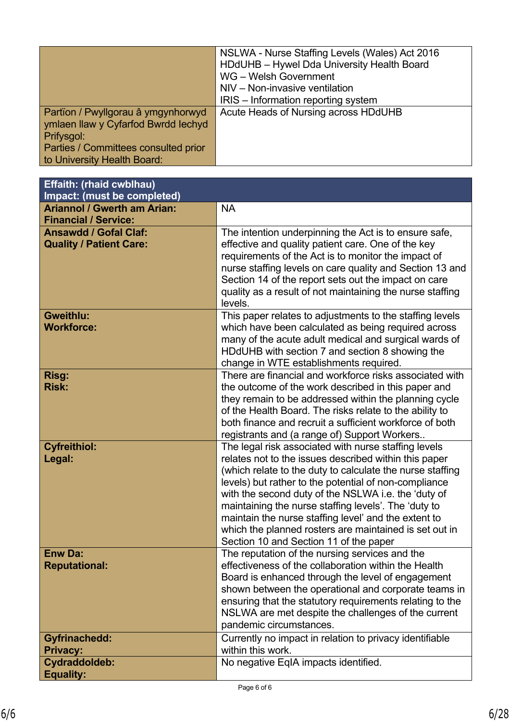|                                      | NSLWA - Nurse Staffing Levels (Wales) Act 2016 |
|--------------------------------------|------------------------------------------------|
|                                      | HDdUHB - Hywel Dda University Health Board     |
|                                      | WG - Welsh Government                          |
|                                      | NIV – Non-invasive ventilation                 |
|                                      | IRIS – Information reporting system            |
| Partïon / Pwyllgorau â ymgynhorwyd   | Acute Heads of Nursing across HDdUHB           |
| ymlaen llaw y Cyfarfod Bwrdd Iechyd  |                                                |
| Prifysgol:                           |                                                |
| Parties / Committees consulted prior |                                                |
| to University Health Board:          |                                                |

| Effaith: (rhaid cwblhau)<br>Impact: (must be completed)           |                                                                                                                                                                                                                                                                                                                                                                                                                                                                                                                |
|-------------------------------------------------------------------|----------------------------------------------------------------------------------------------------------------------------------------------------------------------------------------------------------------------------------------------------------------------------------------------------------------------------------------------------------------------------------------------------------------------------------------------------------------------------------------------------------------|
| <b>Ariannol / Gwerth am Arian:</b><br><b>Financial / Service:</b> | <b>NA</b>                                                                                                                                                                                                                                                                                                                                                                                                                                                                                                      |
| <b>Ansawdd / Gofal Claf:</b><br><b>Quality / Patient Care:</b>    | The intention underpinning the Act is to ensure safe,<br>effective and quality patient care. One of the key<br>requirements of the Act is to monitor the impact of<br>nurse staffing levels on care quality and Section 13 and<br>Section 14 of the report sets out the impact on care<br>quality as a result of not maintaining the nurse staffing<br>levels.                                                                                                                                                 |
| Gweithlu:<br><b>Workforce:</b>                                    | This paper relates to adjustments to the staffing levels<br>which have been calculated as being required across<br>many of the acute adult medical and surgical wards of<br>HDdUHB with section 7 and section 8 showing the<br>change in WTE establishments required.                                                                                                                                                                                                                                          |
| Risg:<br><b>Risk:</b>                                             | There are financial and workforce risks associated with<br>the outcome of the work described in this paper and<br>they remain to be addressed within the planning cycle<br>of the Health Board. The risks relate to the ability to<br>both finance and recruit a sufficient workforce of both<br>registrants and (a range of) Support Workers                                                                                                                                                                  |
| <b>Cyfreithiol:</b><br>Legal:                                     | The legal risk associated with nurse staffing levels<br>relates not to the issues described within this paper<br>(which relate to the duty to calculate the nurse staffing<br>levels) but rather to the potential of non-compliance<br>with the second duty of the NSLWA i.e. the 'duty of<br>maintaining the nurse staffing levels'. The 'duty to<br>maintain the nurse staffing level' and the extent to<br>which the planned rosters are maintained is set out in<br>Section 10 and Section 11 of the paper |
| <b>Enw Da:</b><br><b>Reputational:</b>                            | The reputation of the nursing services and the<br>effectiveness of the collaboration within the Health<br>Board is enhanced through the level of engagement<br>shown between the operational and corporate teams in<br>ensuring that the statutory requirements relating to the<br>NSLWA are met despite the challenges of the current<br>pandemic circumstances.                                                                                                                                              |
| <b>Gyfrinachedd:</b><br><b>Privacy:</b>                           | Currently no impact in relation to privacy identifiable<br>within this work.                                                                                                                                                                                                                                                                                                                                                                                                                                   |
| Cydraddoldeb:<br><b>Equality:</b>                                 | No negative EqIA impacts identified.                                                                                                                                                                                                                                                                                                                                                                                                                                                                           |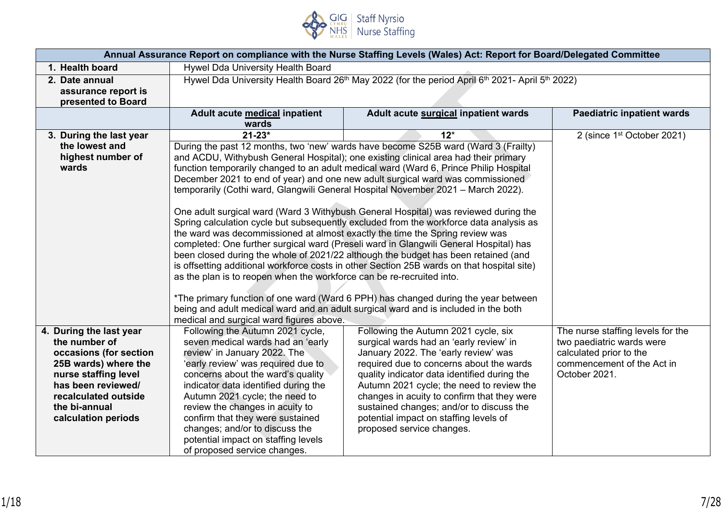

| Annual Assurance Report on compliance with the Nurse Staffing Levels (Wales) Act: Report for Board/Delegated Committee |                                                                                                                                                                             |                                                                                                                                                                               |                                        |  |  |  |
|------------------------------------------------------------------------------------------------------------------------|-----------------------------------------------------------------------------------------------------------------------------------------------------------------------------|-------------------------------------------------------------------------------------------------------------------------------------------------------------------------------|----------------------------------------|--|--|--|
| 1. Health board                                                                                                        | Hywel Dda University Health Board                                                                                                                                           |                                                                                                                                                                               |                                        |  |  |  |
| 2. Date annual                                                                                                         | Hywel Dda University Health Board 26 <sup>th</sup> May 2022 (for the period April 6 <sup>th</sup> 2021- April 5 <sup>th</sup> 2022)                                         |                                                                                                                                                                               |                                        |  |  |  |
| assurance report is                                                                                                    |                                                                                                                                                                             |                                                                                                                                                                               |                                        |  |  |  |
| presented to Board                                                                                                     |                                                                                                                                                                             |                                                                                                                                                                               |                                        |  |  |  |
|                                                                                                                        | Adult acute medical inpatient                                                                                                                                               | Adult acute surgical inpatient wards                                                                                                                                          | <b>Paediatric inpatient wards</b>      |  |  |  |
|                                                                                                                        | wards                                                                                                                                                                       |                                                                                                                                                                               |                                        |  |  |  |
| 3. During the last year                                                                                                | $21 - 23*$                                                                                                                                                                  | $12*$                                                                                                                                                                         | 2 (since 1 <sup>st</sup> October 2021) |  |  |  |
| the lowest and                                                                                                         |                                                                                                                                                                             | During the past 12 months, two 'new' wards have become S25B ward (Ward 3 (Frailty)                                                                                            |                                        |  |  |  |
| highest number of                                                                                                      |                                                                                                                                                                             | and ACDU, Withybush General Hospital); one existing clinical area had their primary                                                                                           |                                        |  |  |  |
| wards                                                                                                                  |                                                                                                                                                                             | function temporarily changed to an adult medical ward (Ward 6, Prince Philip Hospital                                                                                         |                                        |  |  |  |
|                                                                                                                        |                                                                                                                                                                             | December 2021 to end of year) and one new adult surgical ward was commissioned                                                                                                |                                        |  |  |  |
|                                                                                                                        |                                                                                                                                                                             | temporarily (Cothi ward, Glangwili General Hospital November 2021 - March 2022).                                                                                              |                                        |  |  |  |
|                                                                                                                        |                                                                                                                                                                             |                                                                                                                                                                               |                                        |  |  |  |
|                                                                                                                        |                                                                                                                                                                             | One adult surgical ward (Ward 3 Withybush General Hospital) was reviewed during the<br>Spring calculation cycle but subsequently excluded from the workforce data analysis as |                                        |  |  |  |
|                                                                                                                        | the ward was decommissioned at almost exactly the time the Spring review was                                                                                                |                                                                                                                                                                               |                                        |  |  |  |
|                                                                                                                        |                                                                                                                                                                             |                                                                                                                                                                               |                                        |  |  |  |
|                                                                                                                        | completed: One further surgical ward (Preseli ward in Glangwili General Hospital) has<br>been closed during the whole of 2021/22 although the budget has been retained (and |                                                                                                                                                                               |                                        |  |  |  |
|                                                                                                                        | is offsetting additional workforce costs in other Section 25B wards on that hospital site)                                                                                  |                                                                                                                                                                               |                                        |  |  |  |
|                                                                                                                        | as the plan is to reopen when the workforce can be re-recruited into.                                                                                                       |                                                                                                                                                                               |                                        |  |  |  |
|                                                                                                                        |                                                                                                                                                                             |                                                                                                                                                                               |                                        |  |  |  |
|                                                                                                                        | *The primary function of one ward (Ward 6 PPH) has changed during the year between                                                                                          |                                                                                                                                                                               |                                        |  |  |  |
|                                                                                                                        | being and adult medical ward and an adult surgical ward and is included in the both                                                                                         |                                                                                                                                                                               |                                        |  |  |  |
|                                                                                                                        | medical and surgical ward figures above.                                                                                                                                    |                                                                                                                                                                               |                                        |  |  |  |
| 4. During the last year                                                                                                | Following the Autumn 2021 cycle,                                                                                                                                            | Following the Autumn 2021 cycle, six                                                                                                                                          | The nurse staffing levels for the      |  |  |  |
| the number of                                                                                                          | seven medical wards had an 'early<br>surgical wards had an 'early review' in                                                                                                |                                                                                                                                                                               | two paediatric wards were              |  |  |  |
| occasions (for section                                                                                                 | review' in January 2022. The                                                                                                                                                | January 2022. The 'early review' was                                                                                                                                          | calculated prior to the                |  |  |  |
| 25B wards) where the                                                                                                   | 'early review' was required due to                                                                                                                                          | commencement of the Act in                                                                                                                                                    |                                        |  |  |  |
| nurse staffing level                                                                                                   | concerns about the ward's quality                                                                                                                                           | quality indicator data identified during the                                                                                                                                  | October 2021.                          |  |  |  |
| has been reviewed/                                                                                                     | indicator data identified during the                                                                                                                                        | Autumn 2021 cycle; the need to review the                                                                                                                                     |                                        |  |  |  |
| recalculated outside                                                                                                   | Autumn 2021 cycle; the need to                                                                                                                                              | changes in acuity to confirm that they were                                                                                                                                   |                                        |  |  |  |
| the bi-annual                                                                                                          | review the changes in acuity to                                                                                                                                             | sustained changes; and/or to discuss the                                                                                                                                      |                                        |  |  |  |
| calculation periods                                                                                                    | confirm that they were sustained                                                                                                                                            | potential impact on staffing levels of                                                                                                                                        |                                        |  |  |  |
|                                                                                                                        | changes; and/or to discuss the<br>proposed service changes.                                                                                                                 |                                                                                                                                                                               |                                        |  |  |  |
|                                                                                                                        | potential impact on staffing levels                                                                                                                                         |                                                                                                                                                                               |                                        |  |  |  |
|                                                                                                                        | of proposed service changes.                                                                                                                                                |                                                                                                                                                                               |                                        |  |  |  |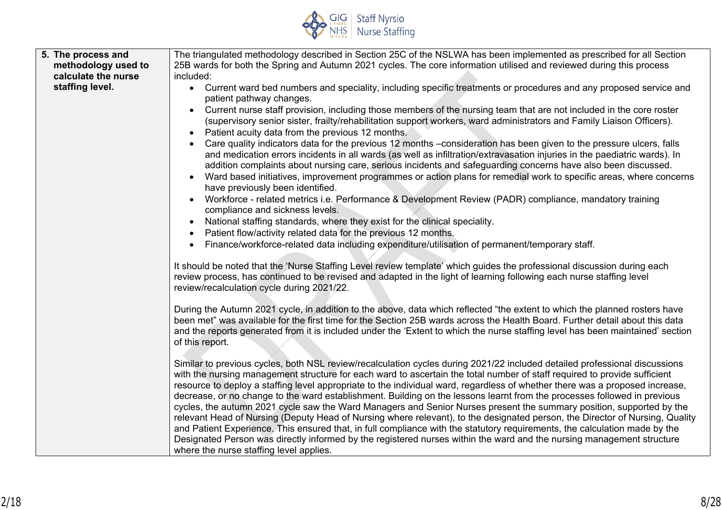

| 5. The process and  | The triangulated methodology described in Section 25C of the NSLWA has been implemented as prescribed for all Section                                                                                                                                                                                                                                                                                                                                                                                                                                                                                                                                                                                                                                                                                                                                                                                     |  |  |
|---------------------|-----------------------------------------------------------------------------------------------------------------------------------------------------------------------------------------------------------------------------------------------------------------------------------------------------------------------------------------------------------------------------------------------------------------------------------------------------------------------------------------------------------------------------------------------------------------------------------------------------------------------------------------------------------------------------------------------------------------------------------------------------------------------------------------------------------------------------------------------------------------------------------------------------------|--|--|
| methodology used to | 25B wards for both the Spring and Autumn 2021 cycles. The core information utilised and reviewed during this process                                                                                                                                                                                                                                                                                                                                                                                                                                                                                                                                                                                                                                                                                                                                                                                      |  |  |
| calculate the nurse | included:                                                                                                                                                                                                                                                                                                                                                                                                                                                                                                                                                                                                                                                                                                                                                                                                                                                                                                 |  |  |
| staffing level.     | • Current ward bed numbers and speciality, including specific treatments or procedures and any proposed service and<br>patient pathway changes.                                                                                                                                                                                                                                                                                                                                                                                                                                                                                                                                                                                                                                                                                                                                                           |  |  |
|                     | Current nurse staff provision, including those members of the nursing team that are not included in the core roster<br>(supervisory senior sister, frailty/rehabilitation support workers, ward administrators and Family Liaison Officers).<br>Patient acuity data from the previous 12 months.<br>$\bullet$                                                                                                                                                                                                                                                                                                                                                                                                                                                                                                                                                                                             |  |  |
|                     | Care quality indicators data for the previous 12 months -consideration has been given to the pressure ulcers, falls<br>$\bullet$<br>and medication errors incidents in all wards (as well as infiltration/extravasation injuries in the paediatric wards). In<br>addition complaints about nursing care, serious incidents and safeguarding concerns have also been discussed.                                                                                                                                                                                                                                                                                                                                                                                                                                                                                                                            |  |  |
|                     | Ward based initiatives, improvement programmes or action plans for remedial work to specific areas, where concerns<br>$\bullet$<br>have previously been identified.                                                                                                                                                                                                                                                                                                                                                                                                                                                                                                                                                                                                                                                                                                                                       |  |  |
|                     | Workforce - related metrics i.e. Performance & Development Review (PADR) compliance, mandatory training<br>compliance and sickness levels.                                                                                                                                                                                                                                                                                                                                                                                                                                                                                                                                                                                                                                                                                                                                                                |  |  |
|                     | National staffing standards, where they exist for the clinical speciality.<br>$\bullet$                                                                                                                                                                                                                                                                                                                                                                                                                                                                                                                                                                                                                                                                                                                                                                                                                   |  |  |
|                     | Patient flow/activity related data for the previous 12 months.<br>$\bullet$                                                                                                                                                                                                                                                                                                                                                                                                                                                                                                                                                                                                                                                                                                                                                                                                                               |  |  |
|                     | Finance/workforce-related data including expenditure/utilisation of permanent/temporary staff.                                                                                                                                                                                                                                                                                                                                                                                                                                                                                                                                                                                                                                                                                                                                                                                                            |  |  |
|                     | It should be noted that the 'Nurse Staffing Level review template' which guides the professional discussion during each<br>review process, has continued to be revised and adapted in the light of learning following each nurse staffing level<br>review/recalculation cycle during 2021/22.                                                                                                                                                                                                                                                                                                                                                                                                                                                                                                                                                                                                             |  |  |
|                     | During the Autumn 2021 cycle, in addition to the above, data which reflected "the extent to which the planned rosters have<br>been met" was available for the first time for the Section 25B wards across the Health Board. Further detail about this data<br>and the reports generated from it is included under the 'Extent to which the nurse staffing level has been maintained' section<br>of this report.                                                                                                                                                                                                                                                                                                                                                                                                                                                                                           |  |  |
|                     | Similar to previous cycles, both NSL review/recalculation cycles during 2021/22 included detailed professional discussions<br>with the nursing management structure for each ward to ascertain the total number of staff required to provide sufficient<br>resource to deploy a staffing level appropriate to the individual ward, regardless of whether there was a proposed increase,<br>decrease, or no change to the ward establishment. Building on the lessons learnt from the processes followed in previous<br>cycles, the autumn 2021 cycle saw the Ward Managers and Senior Nurses present the summary position, supported by the<br>relevant Head of Nursing (Deputy Head of Nursing where relevant), to the designated person, the Director of Nursing, Quality<br>and Patient Experience. This ensured that, in full compliance with the statutory requirements, the calculation made by the |  |  |
|                     | Designated Person was directly informed by the registered nurses within the ward and the nursing management structure<br>where the nurse staffing level applies.                                                                                                                                                                                                                                                                                                                                                                                                                                                                                                                                                                                                                                                                                                                                          |  |  |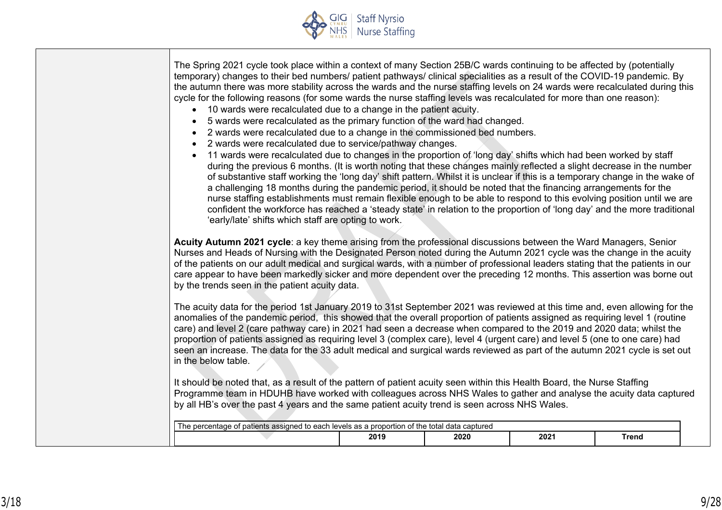

| 5 wards were recalculated as the primary function of the ward had changed.<br>2 wards were recalculated due to a change in the commissioned bed numbers.<br>2 wards were recalculated due to service/pathway changes.<br>$\bullet$<br>11 wards were recalculated due to changes in the proportion of 'long day' shifts which had been worked by staff<br>$\bullet$<br>during the previous 6 months. (It is worth noting that these changes mainly reflected a slight decrease in the number<br>of substantive staff working the 'long day' shift pattern. Whilst it is unclear if this is a temporary change in the wake of<br>a challenging 18 months during the pandemic period, it should be noted that the financing arrangements for the<br>nurse staffing establishments must remain flexible enough to be able to respond to this evolving position until we are<br>confident the workforce has reached a 'steady state' in relation to the proportion of 'long day' and the more traditional<br>'early/late' shifts which staff are opting to work. |      |      |      |              |  |
|-------------------------------------------------------------------------------------------------------------------------------------------------------------------------------------------------------------------------------------------------------------------------------------------------------------------------------------------------------------------------------------------------------------------------------------------------------------------------------------------------------------------------------------------------------------------------------------------------------------------------------------------------------------------------------------------------------------------------------------------------------------------------------------------------------------------------------------------------------------------------------------------------------------------------------------------------------------------------------------------------------------------------------------------------------------|------|------|------|--------------|--|
| Acuity Autumn 2021 cycle: a key theme arising from the professional discussions between the Ward Managers, Senior<br>Nurses and Heads of Nursing with the Designated Person noted during the Autumn 2021 cycle was the change in the acuity<br>of the patients on our adult medical and surgical wards, with a number of professional leaders stating that the patients in our<br>care appear to have been markedly sicker and more dependent over the preceding 12 months. This assertion was borne out<br>by the trends seen in the patient acuity data.                                                                                                                                                                                                                                                                                                                                                                                                                                                                                                  |      |      |      |              |  |
| The acuity data for the period 1st January 2019 to 31st September 2021 was reviewed at this time and, even allowing for the<br>anomalies of the pandemic period, this showed that the overall proportion of patients assigned as requiring level 1 (routine<br>care) and level 2 (care pathway care) in 2021 had seen a decrease when compared to the 2019 and 2020 data; whilst the<br>proportion of patients assigned as requiring level 3 (complex care), level 4 (urgent care) and level 5 (one to one care) had<br>seen an increase. The data for the 33 adult medical and surgical wards reviewed as part of the autumn 2021 cycle is set out<br>in the below table.                                                                                                                                                                                                                                                                                                                                                                                  |      |      |      |              |  |
| It should be noted that, as a result of the pattern of patient acuity seen within this Health Board, the Nurse Staffing<br>Programme team in HDUHB have worked with colleagues across NHS Wales to gather and analyse the acuity data captured<br>by all HB's over the past 4 years and the same patient acuity trend is seen across NHS Wales.                                                                                                                                                                                                                                                                                                                                                                                                                                                                                                                                                                                                                                                                                                             |      |      |      |              |  |
| The percentage of patients assigned to each levels as a proportion of the total data captured                                                                                                                                                                                                                                                                                                                                                                                                                                                                                                                                                                                                                                                                                                                                                                                                                                                                                                                                                               | 2019 | 2020 | 2021 | <b>Trend</b> |  |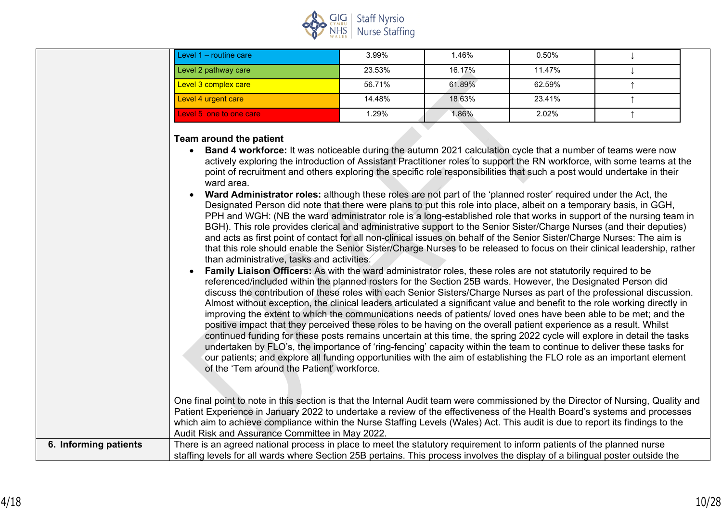

| Level 1 - routine care  | 3.99%  | 1.46%  | 0.50%  |  |
|-------------------------|--------|--------|--------|--|
| Level 2 pathway care    | 23.53% | 16.17% | 11.47% |  |
| Level 3 complex care    | 56.71% | 61.89% | 62.59% |  |
| Level 4 urgent care     | 14.48% | 18.63% | 23.41% |  |
| Level 5 one to one care | 1.29%  | l.86%  | 2.02%  |  |

#### **Team around the patient**

| • Band 4 workforce: It was noticeable during the autumn 2021 calculation cycle that a number of teams were now          |
|-------------------------------------------------------------------------------------------------------------------------|
| actively exploring the introduction of Assistant Practitioner roles to support the RN workforce, with some teams at the |
| point of recruitment and others exploring the specific role responsibilities that such a post would undertake in their  |
| ward area.                                                                                                              |

• **Ward Administrator roles:** although these roles are not part of the 'planned roster' required under the Act, the Designated Person did note that there were plans to put this role into place, albeit on a temporary basis, in GGH, PPH and WGH: (NB the ward administrator role is a long-established role that works in support of the nursing team in BGH). This role provides clerical and administrative support to the Senior Sister/Charge Nurses (and their deputies) and acts as first point of contact for all non-clinical issues on behalf of the Senior Sister/Charge Nurses: The aim is that this role should enable the Senior Sister/Charge Nurses to be released to focus on their clinical leadership, rather than administrative, tasks and activities.

• **Family Liaison Officers:** As with the ward administrator roles, these roles are not statutorily required to be referenced/included within the planned rosters for the Section 25B wards. However, the Designated Person did discuss the contribution of these roles with each Senior Sisters/Charge Nurses as part of the professional discussion. Almost without exception, the clinical leaders articulated a significant value and benefit to the role working directly in improving the extent to which the communications needs of patients/ loved ones have been able to be met; and the positive impact that they perceived these roles to be having on the overall patient experience as a result. Whilst continued funding for these posts remains uncertain at this time, the spring 2022 cycle will explore in detail the tasks undertaken by FLO's, the importance of 'ring-fencing' capacity within the team to continue to deliver these tasks for our patients; and explore all funding opportunities with the aim of establishing the FLO role as an important element of the 'Tem around the Patient' workforce.

One final point to note in this section is that the Internal Audit team were commissioned by the Director of Nursing, Quality and Patient Experience in January 2022 to undertake a review of the effectiveness of the Health Board's systems and processes which aim to achieve compliance within the Nurse Staffing Levels (Wales) Act. This audit is due to report its findings to the Audit Risk and Assurance Committee in May 2022.

| 6. Informing patients | $^\prime$ There is an agreed national process in place to meet the statutory requirement to inform patients of the planned nurse |  |  |
|-----------------------|----------------------------------------------------------------------------------------------------------------------------------|--|--|
|                       | staffing levels for all wards where Section 25B pertains. This process involves the display of a bilingual poster outside the    |  |  |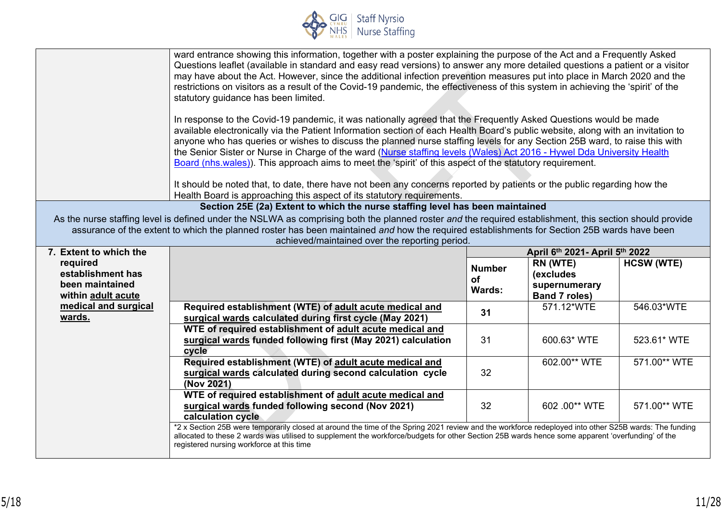

|                                                                        | ward entrance showing this information, together with a poster explaining the purpose of the Act and a Frequently Asked<br>Questions leaflet (available in standard and easy read versions) to answer any more detailed questions a patient or a visitor<br>may have about the Act. However, since the additional infection prevention measures put into place in March 2020 and the<br>restrictions on visitors as a result of the Covid-19 pandemic, the effectiveness of this system in achieving the 'spirit' of the<br>statutory guidance has been limited.<br>In response to the Covid-19 pandemic, it was nationally agreed that the Frequently Asked Questions would be made<br>available electronically via the Patient Information section of each Health Board's public website, along with an invitation to<br>anyone who has queries or wishes to discuss the planned nurse staffing levels for any Section 25B ward, to raise this with<br>the Senior Sister or Nurse in Charge of the ward (Nurse staffing levels (Wales) Act 2016 - Hywel Dda University Health<br>Board (nhs.wales)). This approach aims to meet the 'spirit' of this aspect of the statutory requirement.<br>It should be noted that, to date, there have not been any concerns reported by patients or the public regarding how the<br>Health Board is approaching this aspect of its statutory requirements. |                                             |                                                                |                   |
|------------------------------------------------------------------------|--------------------------------------------------------------------------------------------------------------------------------------------------------------------------------------------------------------------------------------------------------------------------------------------------------------------------------------------------------------------------------------------------------------------------------------------------------------------------------------------------------------------------------------------------------------------------------------------------------------------------------------------------------------------------------------------------------------------------------------------------------------------------------------------------------------------------------------------------------------------------------------------------------------------------------------------------------------------------------------------------------------------------------------------------------------------------------------------------------------------------------------------------------------------------------------------------------------------------------------------------------------------------------------------------------------------------------------------------------------------------------------------------|---------------------------------------------|----------------------------------------------------------------|-------------------|
|                                                                        | Section 25E (2a) Extent to which the nurse staffing level has been maintained                                                                                                                                                                                                                                                                                                                                                                                                                                                                                                                                                                                                                                                                                                                                                                                                                                                                                                                                                                                                                                                                                                                                                                                                                                                                                                                    |                                             |                                                                |                   |
|                                                                        | As the nurse staffing level is defined under the NSLWA as comprising both the planned roster and the required establishment, this section should provide<br>assurance of the extent to which the planned roster has been maintained and how the required establishments for Section 25B wards have been<br>achieved/maintained over the reporting period.                                                                                                                                                                                                                                                                                                                                                                                                                                                                                                                                                                                                                                                                                                                                                                                                                                                                                                                                                                                                                                        |                                             |                                                                |                   |
| 7. Extent to which the                                                 |                                                                                                                                                                                                                                                                                                                                                                                                                                                                                                                                                                                                                                                                                                                                                                                                                                                                                                                                                                                                                                                                                                                                                                                                                                                                                                                                                                                                  |                                             | April 6th 2021- April 5th 2022                                 |                   |
| required<br>establishment has<br>been maintained<br>within adult acute |                                                                                                                                                                                                                                                                                                                                                                                                                                                                                                                                                                                                                                                                                                                                                                                                                                                                                                                                                                                                                                                                                                                                                                                                                                                                                                                                                                                                  | <b>Number</b><br><b>of</b><br><b>Wards:</b> | RN (WTE)<br>(excludes<br>supernumerary<br><b>Band 7 roles)</b> | <b>HCSW (WTE)</b> |
| medical and surgical<br>wards.                                         | Required establishment (WTE) of adult acute medical and<br>surgical wards calculated during first cycle (May 2021)                                                                                                                                                                                                                                                                                                                                                                                                                                                                                                                                                                                                                                                                                                                                                                                                                                                                                                                                                                                                                                                                                                                                                                                                                                                                               | 31                                          | 571.12*WTE                                                     | 546.03*WTE        |
|                                                                        | WTE of required establishment of adult acute medical and<br>surgical wards funded following first (May 2021) calculation<br>cycle                                                                                                                                                                                                                                                                                                                                                                                                                                                                                                                                                                                                                                                                                                                                                                                                                                                                                                                                                                                                                                                                                                                                                                                                                                                                | 31                                          | 600.63* WTE                                                    | 523.61* WTE       |
|                                                                        | Required establishment (WTE) of adult acute medical and<br>surgical wards calculated during second calculation cycle<br>(Nov 2021)                                                                                                                                                                                                                                                                                                                                                                                                                                                                                                                                                                                                                                                                                                                                                                                                                                                                                                                                                                                                                                                                                                                                                                                                                                                               | 32                                          | 602.00** WTE                                                   | 571.00** WTE      |
|                                                                        | WTE of required establishment of adult acute medical and<br>surgical wards funded following second (Nov 2021)<br>calculation cycle                                                                                                                                                                                                                                                                                                                                                                                                                                                                                                                                                                                                                                                                                                                                                                                                                                                                                                                                                                                                                                                                                                                                                                                                                                                               | 32                                          | 602 .00** WTE                                                  | 571.00** WTE      |
|                                                                        | *2 x Section 25B were temporarily closed at around the time of the Spring 2021 review and the workforce redeployed into other S25B wards: The funding<br>allocated to these 2 wards was utilised to supplement the workforce/budgets for other Section 25B wards hence some apparent 'overfunding' of the<br>registered nursing workforce at this time                                                                                                                                                                                                                                                                                                                                                                                                                                                                                                                                                                                                                                                                                                                                                                                                                                                                                                                                                                                                                                           |                                             |                                                                |                   |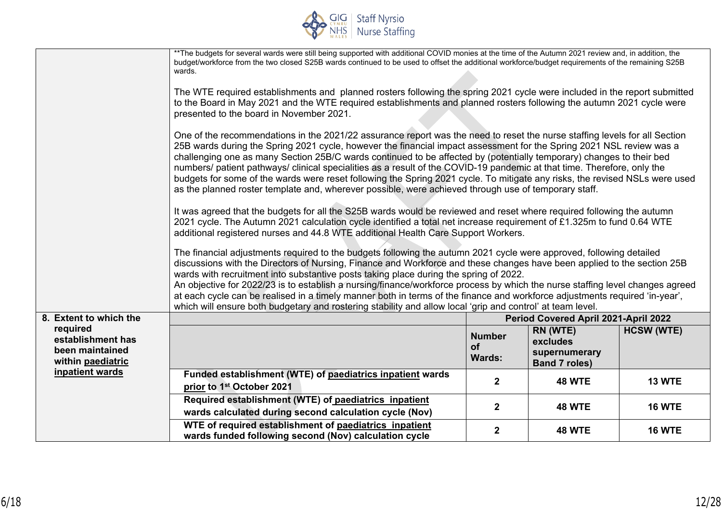

|                                                                       | ** The budgets for several wards were still being supported with additional COVID monies at the time of the Autumn 2021 review and, in addition, the<br>budget/workforce from the two closed S25B wards continued to be used to offset the additional workforce/budget requirements of the remaining S25B<br>wards.                                                                                                                                                                                                                                                                                                                                                                                                                          |                                             |                                                               |                   |  |
|-----------------------------------------------------------------------|----------------------------------------------------------------------------------------------------------------------------------------------------------------------------------------------------------------------------------------------------------------------------------------------------------------------------------------------------------------------------------------------------------------------------------------------------------------------------------------------------------------------------------------------------------------------------------------------------------------------------------------------------------------------------------------------------------------------------------------------|---------------------------------------------|---------------------------------------------------------------|-------------------|--|
|                                                                       | The WTE required establishments and planned rosters following the spring 2021 cycle were included in the report submitted<br>to the Board in May 2021 and the WTE required establishments and planned rosters following the autumn 2021 cycle were<br>presented to the board in November 2021.                                                                                                                                                                                                                                                                                                                                                                                                                                               |                                             |                                                               |                   |  |
|                                                                       | One of the recommendations in the 2021/22 assurance report was the need to reset the nurse staffing levels for all Section<br>25B wards during the Spring 2021 cycle, however the financial impact assessment for the Spring 2021 NSL review was a<br>challenging one as many Section 25B/C wards continued to be affected by (potentially temporary) changes to their bed<br>numbers/ patient pathways/ clinical specialities as a result of the COVID-19 pandemic at that time. Therefore, only the<br>budgets for some of the wards were reset following the Spring 2021 cycle. To mitigate any risks, the revised NSLs were used<br>as the planned roster template and, wherever possible, were achieved through use of temporary staff. |                                             |                                                               |                   |  |
|                                                                       | It was agreed that the budgets for all the S25B wards would be reviewed and reset where required following the autumn<br>2021 cycle. The Autumn 2021 calculation cycle identified a total net increase requirement of £1.325m to fund 0.64 WTE<br>additional registered nurses and 44.8 WTE additional Health Care Support Workers.                                                                                                                                                                                                                                                                                                                                                                                                          |                                             |                                                               |                   |  |
|                                                                       | The financial adjustments required to the budgets following the autumn 2021 cycle were approved, following detailed<br>discussions with the Directors of Nursing, Finance and Workforce and these changes have been applied to the section 25B<br>wards with recruitment into substantive posts taking place during the spring of 2022.<br>An objective for 2022/23 is to establish a nursing/finance/workforce process by which the nurse staffing level changes agreed<br>at each cycle can be realised in a timely manner both in terms of the finance and workforce adjustments required 'in-year',<br>which will ensure both budgetary and rostering stability and allow local 'grip and control' at team level.                        |                                             |                                                               |                   |  |
| 8. Extent to which the                                                |                                                                                                                                                                                                                                                                                                                                                                                                                                                                                                                                                                                                                                                                                                                                              |                                             | Period Covered April 2021-April 2022                          |                   |  |
| required<br>establishment has<br>been maintained<br>within paediatric |                                                                                                                                                                                                                                                                                                                                                                                                                                                                                                                                                                                                                                                                                                                                              | <b>Number</b><br><b>of</b><br><b>Wards:</b> | RN (WTE)<br>excludes<br>supernumerary<br><b>Band 7 roles)</b> | <b>HCSW (WTE)</b> |  |
| inpatient wards                                                       | Funded establishment (WTE) of paediatrics inpatient wards<br>prior to 1st October 2021                                                                                                                                                                                                                                                                                                                                                                                                                                                                                                                                                                                                                                                       | $\mathbf{2}$                                | <b>48 WTE</b>                                                 | <b>13 WTE</b>     |  |
|                                                                       | Required establishment (WTE) of paediatrics inpatient<br>wards calculated during second calculation cycle (Nov)                                                                                                                                                                                                                                                                                                                                                                                                                                                                                                                                                                                                                              | $\mathbf{2}$                                | <b>48 WTE</b>                                                 | <b>16 WTE</b>     |  |
|                                                                       | WTE of required establishment of paediatrics inpatient<br>wards funded following second (Nov) calculation cycle                                                                                                                                                                                                                                                                                                                                                                                                                                                                                                                                                                                                                              | $\mathbf{2}$                                | <b>48 WTE</b>                                                 | <b>16 WTE</b>     |  |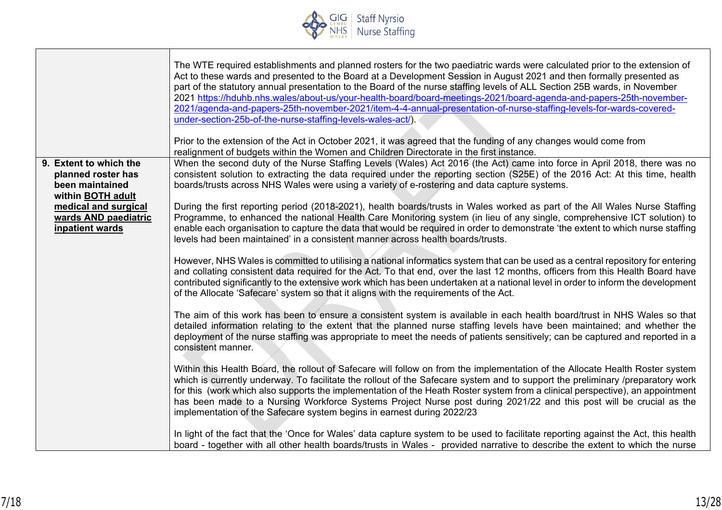

|                                                                                      | The WTE required establishments and planned rosters for the two paediatric wards were calculated prior to the extension of<br>Act to these wards and presented to the Board at a Development Session in August 2021 and then formally presented as<br>part of the statutory annual presentation to the Board of the nurse staffing levels of ALL Section 25B wards, in November<br>2021 https://hduhb.nhs.wales/about-us/your-health-board/board-meetings-2021/board-agenda-and-papers-25th-november-<br>2021/agenda-and-papers-25th-november-2021/item-4-4-annual-presentation-of-nurse-staffing-levels-for-wards-covered-<br>under-section-25b-of-the-nurse-staffing-levels-wales-act/).<br>Prior to the extension of the Act in October 2021, it was agreed that the funding of any changes would come from<br>realignment of budgets within the Women and Children Directorate in the first instance. |
|--------------------------------------------------------------------------------------|-----------------------------------------------------------------------------------------------------------------------------------------------------------------------------------------------------------------------------------------------------------------------------------------------------------------------------------------------------------------------------------------------------------------------------------------------------------------------------------------------------------------------------------------------------------------------------------------------------------------------------------------------------------------------------------------------------------------------------------------------------------------------------------------------------------------------------------------------------------------------------------------------------------|
| 9. Extent to which the<br>planned roster has<br>been maintained<br>within BOTH adult | When the second duty of the Nurse Staffing Levels (Wales) Act 2016 (the Act) came into force in April 2018, there was no<br>consistent solution to extracting the data required under the reporting section (S25E) of the 2016 Act: At this time, health<br>boards/trusts across NHS Wales were using a variety of e-rostering and data capture systems.                                                                                                                                                                                                                                                                                                                                                                                                                                                                                                                                                  |
| medical and surgical<br>wards AND paediatric<br>inpatient wards                      | During the first reporting period (2018-2021), health boards/trusts in Wales worked as part of the All Wales Nurse Staffing<br>Programme, to enhanced the national Health Care Monitoring system (in lieu of any single, comprehensive ICT solution) to<br>enable each organisation to capture the data that would be required in order to demonstrate 'the extent to which nurse staffing<br>levels had been maintained' in a consistent manner across health boards/trusts.                                                                                                                                                                                                                                                                                                                                                                                                                             |
|                                                                                      | However, NHS Wales is committed to utilising a national informatics system that can be used as a central repository for entering<br>and collating consistent data required for the Act. To that end, over the last 12 months, officers from this Health Board have<br>contributed significantly to the extensive work which has been undertaken at a national level in order to inform the development<br>of the Allocate 'Safecare' system so that it aligns with the requirements of the Act.                                                                                                                                                                                                                                                                                                                                                                                                           |
|                                                                                      | The aim of this work has been to ensure a consistent system is available in each health board/trust in NHS Wales so that<br>detailed information relating to the extent that the planned nurse staffing levels have been maintained; and whether the<br>deployment of the nurse staffing was appropriate to meet the needs of patients sensitively; can be captured and reported in a<br>consistent manner.                                                                                                                                                                                                                                                                                                                                                                                                                                                                                               |
|                                                                                      | Within this Health Board, the rollout of Safecare will follow on from the implementation of the Allocate Health Roster system<br>which is currently underway. To facilitate the rollout of the Safecare system and to support the preliminary /preparatory work<br>for this (work which also supports the implementation of the Heath Roster system from a clinical perspective), an appointment<br>has been made to a Nursing Workforce Systems Project Nurse post during 2021/22 and this post will be crucial as the<br>implementation of the Safecare system begins in earnest during 2022/23                                                                                                                                                                                                                                                                                                         |
|                                                                                      | In light of the fact that the 'Once for Wales' data capture system to be used to facilitate reporting against the Act, this health<br>board - together with all other health boards/trusts in Wales - provided narrative to describe the extent to which the nurse                                                                                                                                                                                                                                                                                                                                                                                                                                                                                                                                                                                                                                        |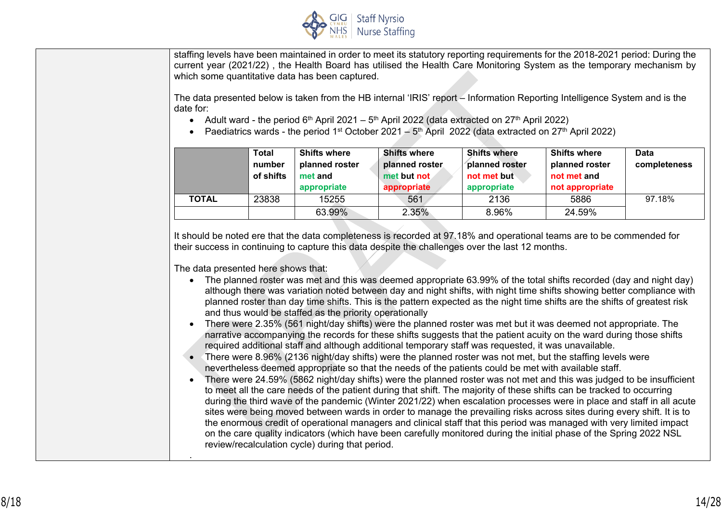

staffing levels have been maintained in order to meet its statutory reporting requirements for the 2018-2021 period: During the current year (2021/22) , the Health Board has utilised the Health Care Monitoring System as the temporary mechanism by which some quantitative data has been captured.

The data presented below is taken from the HB internal 'IRIS' report – Information Reporting Intelligence System and is the date for:

- Adult ward the period  $6<sup>th</sup>$  April 2021  $5<sup>th</sup>$  April 2022 (data extracted on 27<sup>th</sup> April 2022)
- Paediatrics wards the period 1<sup>st</sup> October 2021 5<sup>th</sup> April 2022 (data extracted on 27<sup>th</sup> April 2022)

|              | <b>Total</b><br>number<br>of shifts | <b>Shifts where</b><br>planned roster<br>met and<br>appropriate | <b>Shifts where</b><br>planned roster<br>met but not<br>appropriate | <b>Shifts where</b><br>planned roster<br>not met but<br>appropriate | <b>Shifts where</b><br>planned roster<br>not met and<br>not appropriate | <b>Data</b><br>completeness |
|--------------|-------------------------------------|-----------------------------------------------------------------|---------------------------------------------------------------------|---------------------------------------------------------------------|-------------------------------------------------------------------------|-----------------------------|
| <b>TOTAL</b> | 23838                               | 15255                                                           | 561                                                                 | 2136                                                                | 5886                                                                    | 97.18%                      |
|              |                                     | 63.99%                                                          | 2.35%                                                               | 8.96%                                                               | 24.59%                                                                  |                             |

It should be noted ere that the data completeness is recorded at 97.18% and operational teams are to be commended for their success in continuing to capture this data despite the challenges over the last 12 months.

The data presented here shows that:

.

- The planned roster was met and this was deemed appropriate 63.99% of the total shifts recorded (day and night day) although there was variation noted between day and night shifts, with night time shifts showing better compliance with planned roster than day time shifts. This is the pattern expected as the night time shifts are the shifts of greatest risk and thus would be staffed as the priority operationally
- There were 2.35% (561 night/day shifts) were the planned roster was met but it was deemed not appropriate. The narrative accompanying the records for these shifts suggests that the patient acuity on the ward during those shifts required additional staff and although additional temporary staff was requested, it was unavailable.
- There were 8.96% (2136 night/day shifts) were the planned roster was not met, but the staffing levels were nevertheless deemed appropriate so that the needs of the patients could be met with available staff.
- There were 24.59% (5862 night/day shifts) were the planned roster was not met and this was judged to be insufficient to meet all the care needs of the patient during that shift. The majority of these shifts can be tracked to occurring during the third wave of the pandemic (Winter 2021/22) when escalation processes were in place and staff in all acute sites were being moved between wards in order to manage the prevailing risks across sites during every shift. It is to the enormous credit of operational managers and clinical staff that this period was managed with very limited impact on the care quality indicators (which have been carefully monitored during the initial phase of the Spring 2022 NSL review/recalculation cycle) during that period.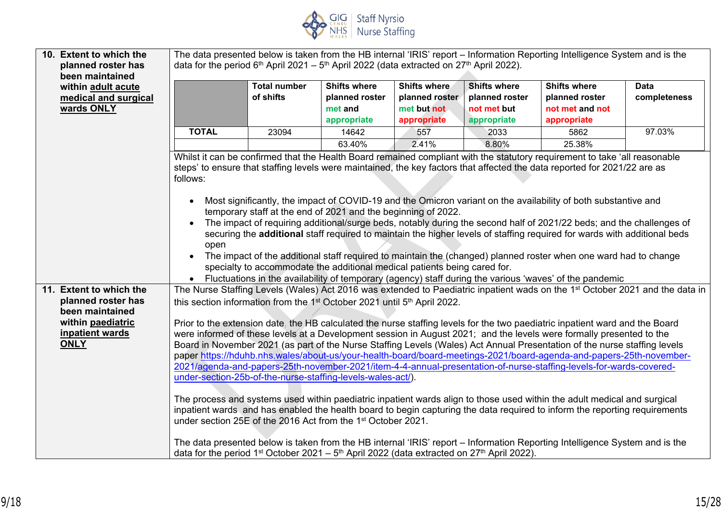

| 10. Extent to which the                                                     | The data presented below is taken from the HB internal 'IRIS' report - Information Reporting Intelligence System and is the                                                                                                                                                                                                                                                                                                                                                                                                                                                                                                                                                                                                                                                                                                                                                                                                                                                                                                                                                                                                                                        |                                                                                                                                |                                                                 |                                                                     |                                                                     |                                                                                                         |                                                                                                                                          |
|-----------------------------------------------------------------------------|--------------------------------------------------------------------------------------------------------------------------------------------------------------------------------------------------------------------------------------------------------------------------------------------------------------------------------------------------------------------------------------------------------------------------------------------------------------------------------------------------------------------------------------------------------------------------------------------------------------------------------------------------------------------------------------------------------------------------------------------------------------------------------------------------------------------------------------------------------------------------------------------------------------------------------------------------------------------------------------------------------------------------------------------------------------------------------------------------------------------------------------------------------------------|--------------------------------------------------------------------------------------------------------------------------------|-----------------------------------------------------------------|---------------------------------------------------------------------|---------------------------------------------------------------------|---------------------------------------------------------------------------------------------------------|------------------------------------------------------------------------------------------------------------------------------------------|
| planned roster has                                                          |                                                                                                                                                                                                                                                                                                                                                                                                                                                                                                                                                                                                                                                                                                                                                                                                                                                                                                                                                                                                                                                                                                                                                                    | data for the period 6 <sup>th</sup> April 2021 – 5 <sup>th</sup> April 2022 (data extracted on 27 <sup>th</sup> April 2022).   |                                                                 |                                                                     |                                                                     |                                                                                                         |                                                                                                                                          |
| been maintained<br>within adult acute<br>medical and surgical<br>wards ONLY |                                                                                                                                                                                                                                                                                                                                                                                                                                                                                                                                                                                                                                                                                                                                                                                                                                                                                                                                                                                                                                                                                                                                                                    | <b>Total number</b><br>of shifts                                                                                               | <b>Shifts where</b><br>planned roster<br>met and<br>appropriate | <b>Shifts where</b><br>planned roster<br>met but not<br>appropriate | <b>Shifts where</b><br>planned roster<br>not met but<br>appropriate | <b>Shifts where</b><br>planned roster<br>not met and not<br>appropriate                                 | <b>Data</b><br>completeness                                                                                                              |
|                                                                             | <b>TOTAL</b>                                                                                                                                                                                                                                                                                                                                                                                                                                                                                                                                                                                                                                                                                                                                                                                                                                                                                                                                                                                                                                                                                                                                                       | 23094                                                                                                                          | 14642                                                           | 557                                                                 | 2033                                                                | 5862                                                                                                    | 97.03%                                                                                                                                   |
|                                                                             |                                                                                                                                                                                                                                                                                                                                                                                                                                                                                                                                                                                                                                                                                                                                                                                                                                                                                                                                                                                                                                                                                                                                                                    |                                                                                                                                | 63.40%                                                          | 2.41%                                                               | 8.80%                                                               | 25.38%                                                                                                  |                                                                                                                                          |
|                                                                             | Whilst it can be confirmed that the Health Board remained compliant with the statutory requirement to take 'all reasonable<br>steps' to ensure that staffing levels were maintained, the key factors that affected the data reported for 2021/22 are as<br>follows:<br>Most significantly, the impact of COVID-19 and the Omicron variant on the availability of both substantive and<br>$\bullet$<br>temporary staff at the end of 2021 and the beginning of 2022.<br>The impact of requiring additional/surge beds, notably during the second half of 2021/22 beds; and the challenges of<br>securing the additional staff required to maintain the higher levels of staffing required for wards with additional beds<br>open<br>The impact of the additional staff required to maintain the (changed) planned roster when one ward had to change<br>specialty to accommodate the additional medical patients being cared for.                                                                                                                                                                                                                                   |                                                                                                                                |                                                                 |                                                                     |                                                                     |                                                                                                         |                                                                                                                                          |
| 11. Extent to which the                                                     |                                                                                                                                                                                                                                                                                                                                                                                                                                                                                                                                                                                                                                                                                                                                                                                                                                                                                                                                                                                                                                                                                                                                                                    |                                                                                                                                |                                                                 |                                                                     |                                                                     | Fluctuations in the availability of temporary (agency) staff during the various 'waves' of the pandemic | The Nurse Staffing Levels (Wales) Act 2016 was extended to Paediatric inpatient wads on the 1 <sup>st</sup> October 2021 and the data in |
| planned roster has                                                          |                                                                                                                                                                                                                                                                                                                                                                                                                                                                                                                                                                                                                                                                                                                                                                                                                                                                                                                                                                                                                                                                                                                                                                    | this section information from the 1 <sup>st</sup> October 2021 until 5 <sup>th</sup> April 2022.                               |                                                                 |                                                                     |                                                                     |                                                                                                         |                                                                                                                                          |
| been maintained                                                             |                                                                                                                                                                                                                                                                                                                                                                                                                                                                                                                                                                                                                                                                                                                                                                                                                                                                                                                                                                                                                                                                                                                                                                    |                                                                                                                                |                                                                 |                                                                     |                                                                     |                                                                                                         |                                                                                                                                          |
| within paediatric                                                           |                                                                                                                                                                                                                                                                                                                                                                                                                                                                                                                                                                                                                                                                                                                                                                                                                                                                                                                                                                                                                                                                                                                                                                    |                                                                                                                                |                                                                 |                                                                     |                                                                     |                                                                                                         |                                                                                                                                          |
| inpatient wards<br><b>ONLY</b>                                              | Prior to the extension date, the HB calculated the nurse staffing levels for the two paediatric inpatient ward and the Board<br>were informed of these levels at a Development session in August 2021; and the levels were formally presented to the<br>Board in November 2021 (as part of the Nurse Staffing Levels (Wales) Act Annual Presentation of the nurse staffing levels<br>paper https://hduhb.nhs.wales/about-us/your-health-board/board-meetings-2021/board-agenda-and-papers-25th-november-<br>2021/agenda-and-papers-25th-november-2021/item-4-4-annual-presentation-of-nurse-staffing-levels-for-wards-covered-<br>under-section-25b-of-the-nurse-staffing-levels-wales-act/).<br>The process and systems used within paediatric inpatient wards align to those used within the adult medical and surgical<br>inpatient wards and has enabled the health board to begin capturing the data required to inform the reporting requirements<br>under section 25E of the 2016 Act from the 1 <sup>st</sup> October 2021.<br>The data presented below is taken from the HB internal 'IRIS' report – Information Reporting Intelligence System and is the |                                                                                                                                |                                                                 |                                                                     |                                                                     |                                                                                                         |                                                                                                                                          |
|                                                                             |                                                                                                                                                                                                                                                                                                                                                                                                                                                                                                                                                                                                                                                                                                                                                                                                                                                                                                                                                                                                                                                                                                                                                                    | data for the period 1 <sup>st</sup> October 2021 – 5 <sup>th</sup> April 2022 (data extracted on 27 <sup>th</sup> April 2022). |                                                                 |                                                                     |                                                                     |                                                                                                         |                                                                                                                                          |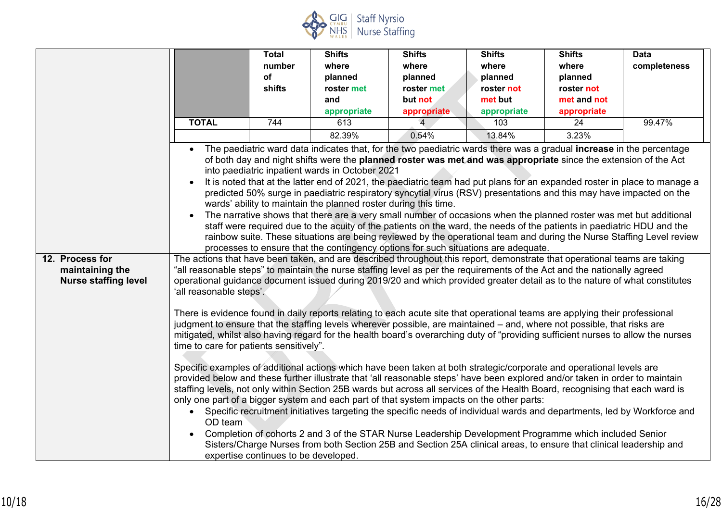

|                                                                   |                                                                                                                      | <b>Total</b>                         | <b>Shifts</b>                                                                                                      | <b>Shifts</b>                                                                                                                                                                                                                                                                                                                                                                                                                                                                                                                                                                                                                                                                                                                                                                                                                                                                                                                                                                                                                                                                                                                                                                                                                                                                                                                                                                                                                                                                                                                                                                                                                                                                                                                                                                                                                                                                                                                                                                                                                                                                                                                                                                                                                                                                                                                                       | <b>Shifts</b> | <b>Shifts</b> | <b>Data</b>                                                                                                                                                                                                                                        |
|-------------------------------------------------------------------|----------------------------------------------------------------------------------------------------------------------|--------------------------------------|--------------------------------------------------------------------------------------------------------------------|-----------------------------------------------------------------------------------------------------------------------------------------------------------------------------------------------------------------------------------------------------------------------------------------------------------------------------------------------------------------------------------------------------------------------------------------------------------------------------------------------------------------------------------------------------------------------------------------------------------------------------------------------------------------------------------------------------------------------------------------------------------------------------------------------------------------------------------------------------------------------------------------------------------------------------------------------------------------------------------------------------------------------------------------------------------------------------------------------------------------------------------------------------------------------------------------------------------------------------------------------------------------------------------------------------------------------------------------------------------------------------------------------------------------------------------------------------------------------------------------------------------------------------------------------------------------------------------------------------------------------------------------------------------------------------------------------------------------------------------------------------------------------------------------------------------------------------------------------------------------------------------------------------------------------------------------------------------------------------------------------------------------------------------------------------------------------------------------------------------------------------------------------------------------------------------------------------------------------------------------------------------------------------------------------------------------------------------------------------|---------------|---------------|----------------------------------------------------------------------------------------------------------------------------------------------------------------------------------------------------------------------------------------------------|
|                                                                   |                                                                                                                      | number                               | where                                                                                                              | where                                                                                                                                                                                                                                                                                                                                                                                                                                                                                                                                                                                                                                                                                                                                                                                                                                                                                                                                                                                                                                                                                                                                                                                                                                                                                                                                                                                                                                                                                                                                                                                                                                                                                                                                                                                                                                                                                                                                                                                                                                                                                                                                                                                                                                                                                                                                               | where         | where         | completeness                                                                                                                                                                                                                                       |
|                                                                   |                                                                                                                      | of                                   | planned                                                                                                            | planned                                                                                                                                                                                                                                                                                                                                                                                                                                                                                                                                                                                                                                                                                                                                                                                                                                                                                                                                                                                                                                                                                                                                                                                                                                                                                                                                                                                                                                                                                                                                                                                                                                                                                                                                                                                                                                                                                                                                                                                                                                                                                                                                                                                                                                                                                                                                             | planned       | planned       |                                                                                                                                                                                                                                                    |
|                                                                   |                                                                                                                      | shifts                               | roster met                                                                                                         | roster met                                                                                                                                                                                                                                                                                                                                                                                                                                                                                                                                                                                                                                                                                                                                                                                                                                                                                                                                                                                                                                                                                                                                                                                                                                                                                                                                                                                                                                                                                                                                                                                                                                                                                                                                                                                                                                                                                                                                                                                                                                                                                                                                                                                                                                                                                                                                          | roster not    | roster not    |                                                                                                                                                                                                                                                    |
|                                                                   |                                                                                                                      |                                      | and                                                                                                                | but not                                                                                                                                                                                                                                                                                                                                                                                                                                                                                                                                                                                                                                                                                                                                                                                                                                                                                                                                                                                                                                                                                                                                                                                                                                                                                                                                                                                                                                                                                                                                                                                                                                                                                                                                                                                                                                                                                                                                                                                                                                                                                                                                                                                                                                                                                                                                             | met but       | met and not   |                                                                                                                                                                                                                                                    |
|                                                                   |                                                                                                                      |                                      | appropriate                                                                                                        | appropriate                                                                                                                                                                                                                                                                                                                                                                                                                                                                                                                                                                                                                                                                                                                                                                                                                                                                                                                                                                                                                                                                                                                                                                                                                                                                                                                                                                                                                                                                                                                                                                                                                                                                                                                                                                                                                                                                                                                                                                                                                                                                                                                                                                                                                                                                                                                                         | appropriate   | appropriate   |                                                                                                                                                                                                                                                    |
|                                                                   | <b>TOTAL</b>                                                                                                         | 744                                  | 613                                                                                                                |                                                                                                                                                                                                                                                                                                                                                                                                                                                                                                                                                                                                                                                                                                                                                                                                                                                                                                                                                                                                                                                                                                                                                                                                                                                                                                                                                                                                                                                                                                                                                                                                                                                                                                                                                                                                                                                                                                                                                                                                                                                                                                                                                                                                                                                                                                                                                     | 103           | 24            | 99.47%                                                                                                                                                                                                                                             |
|                                                                   |                                                                                                                      |                                      | 82.39%                                                                                                             | 0.54%                                                                                                                                                                                                                                                                                                                                                                                                                                                                                                                                                                                                                                                                                                                                                                                                                                                                                                                                                                                                                                                                                                                                                                                                                                                                                                                                                                                                                                                                                                                                                                                                                                                                                                                                                                                                                                                                                                                                                                                                                                                                                                                                                                                                                                                                                                                                               | 13.84%        | 3.23%         |                                                                                                                                                                                                                                                    |
| 12. Process for<br>maintaining the<br><b>Nurse staffing level</b> | $\bullet$<br>$\bullet$<br>$\bullet$<br>'all reasonable steps'.<br>time to care for patients sensitively".<br>OD team | expertise continues to be developed. | into paediatric inpatient wards in October 2021<br>wards' ability to maintain the planned roster during this time. | The paediatric ward data indicates that, for the two paediatric wards there was a gradual <b>increase</b> in the percentage<br>of both day and night shifts were the planned roster was met and was appropriate since the extension of the Act<br>predicted 50% surge in paediatric respiratory syncytial virus (RSV) presentations and this may have impacted on the<br>The narrative shows that there are a very small number of occasions when the planned roster was met but additional<br>staff were required due to the acuity of the patients on the ward, the needs of the patients in paediatric HDU and the<br>processes to ensure that the contingency options for such situations are adequate.<br>The actions that have been taken, and are described throughout this report, demonstrate that operational teams are taking<br>"all reasonable steps" to maintain the nurse staffing level as per the requirements of the Act and the nationally agreed<br>operational guidance document issued during 2019/20 and which provided greater detail as to the nature of what constitutes<br>There is evidence found in daily reports relating to each acute site that operational teams are applying their professional<br>judgment to ensure that the staffing levels wherever possible, are maintained – and, where not possible, that risks are<br>mitigated, whilst also having regard for the health board's overarching duty of "providing sufficient nurses to allow the nurses<br>Specific examples of additional actions which have been taken at both strategic/corporate and operational levels are<br>provided below and these further illustrate that 'all reasonable steps' have been explored and/or taken in order to maintain<br>staffing levels, not only within Section 25B wards but across all services of the Health Board, recognising that each ward is<br>only one part of a bigger system and each part of that system impacts on the other parts:<br>• Specific recruitment initiatives targeting the specific needs of individual wards and departments, led by Workforce and<br>Completion of cohorts 2 and 3 of the STAR Nurse Leadership Development Programme which included Senior<br>Sisters/Charge Nurses from both Section 25B and Section 25A clinical areas, to ensure that clinical leadership and |               |               | It is noted that at the latter end of 2021, the paediatric team had put plans for an expanded roster in place to manage a<br>rainbow suite. These situations are being reviewed by the operational team and during the Nurse Staffing Level review |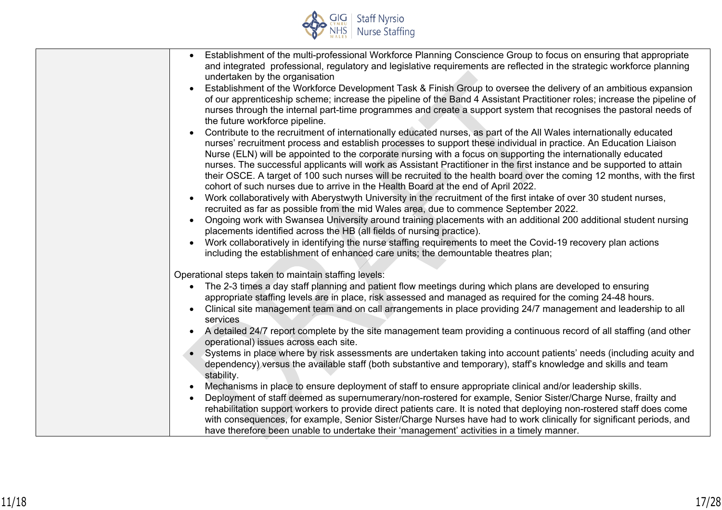

| Establishment of the multi-professional Workforce Planning Conscience Group to focus on ensuring that appropriate<br>and integrated professional, regulatory and legislative requirements are reflected in the strategic workforce planning<br>undertaken by the organisation                                                                                                                                                                                                                                                                                                 |
|-------------------------------------------------------------------------------------------------------------------------------------------------------------------------------------------------------------------------------------------------------------------------------------------------------------------------------------------------------------------------------------------------------------------------------------------------------------------------------------------------------------------------------------------------------------------------------|
| Establishment of the Workforce Development Task & Finish Group to oversee the delivery of an ambitious expansion<br>$\bullet$<br>of our apprenticeship scheme; increase the pipeline of the Band 4 Assistant Practitioner roles; increase the pipeline of<br>nurses through the internal part-time programmes and create a support system that recognises the pastoral needs of<br>the future workforce pipeline.<br>Contribute to the recruitment of internationally educated nurses, as part of the All Wales internationally educated                                      |
| nurses' recruitment process and establish processes to support these individual in practice. An Education Liaison<br>Nurse (ELN) will be appointed to the corporate nursing with a focus on supporting the internationally educated<br>nurses. The successful applicants will work as Assistant Practitioner in the first instance and be supported to attain<br>their OSCE. A target of 100 such nurses will be recruited to the health board over the coming 12 months, with the first<br>cohort of such nurses due to arrive in the Health Board at the end of April 2022. |
| Work collaboratively with Aberystwyth University in the recruitment of the first intake of over 30 student nurses,<br>recruited as far as possible from the mid Wales area, due to commence September 2022.<br>Ongoing work with Swansea University around training placements with an additional 200 additional student nursing<br>$\bullet$                                                                                                                                                                                                                                 |
| placements identified across the HB (all fields of nursing practice).<br>Work collaboratively in identifying the nurse staffing requirements to meet the Covid-19 recovery plan actions<br>including the establishment of enhanced care units; the demountable theatres plan;                                                                                                                                                                                                                                                                                                 |
| Operational steps taken to maintain staffing levels:                                                                                                                                                                                                                                                                                                                                                                                                                                                                                                                          |
| The 2-3 times a day staff planning and patient flow meetings during which plans are developed to ensuring<br>appropriate staffing levels are in place, risk assessed and managed as required for the coming 24-48 hours.                                                                                                                                                                                                                                                                                                                                                      |
| Clinical site management team and on call arrangements in place providing 24/7 management and leadership to all<br>services                                                                                                                                                                                                                                                                                                                                                                                                                                                   |
| A detailed 24/7 report complete by the site management team providing a continuous record of all staffing (and other<br>$\bullet$<br>operational) issues across each site.                                                                                                                                                                                                                                                                                                                                                                                                    |
| Systems in place where by risk assessments are undertaken taking into account patients' needs (including acuity and<br>dependency) versus the available staff (both substantive and temporary), staff's knowledge and skills and team<br>stability.                                                                                                                                                                                                                                                                                                                           |
| Mechanisms in place to ensure deployment of staff to ensure appropriate clinical and/or leadership skills.<br>Deployment of staff deemed as supernumerary/non-rostered for example, Senior Sister/Charge Nurse, frailty and<br>rehabilitation support workers to provide direct patients care. It is noted that deploying non-rostered staff does come<br>with consequences, for example, Senior Sister/Charge Nurses have had to work clinically for significant periods, and<br>have therefore been unable to undertake their 'management' activities in a timely manner.   |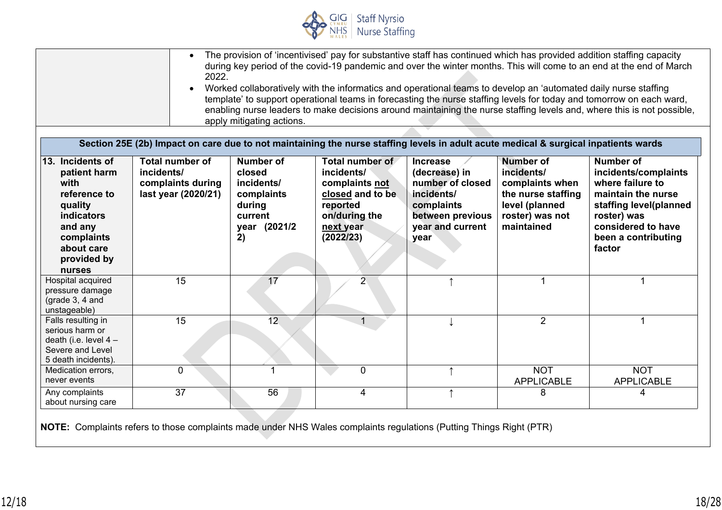

|                                                                                                                                                          | $\bullet$<br>2022.<br>$\bullet$<br>Section 25E (2b) Impact on care due to not maintaining the nurse staffing levels in adult acute medical & surgical inpatients wards | apply mitigating actions.                                                                         | Worked collaboratively with the informatics and operational teams to develop an 'automated daily nurse staffing            |                                                                                                                                  |                                                                                                                            | The provision of 'incentivised' pay for substantive staff has continued which has provided addition staffing capacity<br>during key period of the covid-19 pandemic and over the winter months. This will come to an end at the end of March<br>template' to support operational teams in forecasting the nurse staffing levels for today and tomorrow on each ward,<br>enabling nurse leaders to make decisions around maintaining the nurse staffing levels and, where this is not possible, |
|----------------------------------------------------------------------------------------------------------------------------------------------------------|------------------------------------------------------------------------------------------------------------------------------------------------------------------------|---------------------------------------------------------------------------------------------------|----------------------------------------------------------------------------------------------------------------------------|----------------------------------------------------------------------------------------------------------------------------------|----------------------------------------------------------------------------------------------------------------------------|------------------------------------------------------------------------------------------------------------------------------------------------------------------------------------------------------------------------------------------------------------------------------------------------------------------------------------------------------------------------------------------------------------------------------------------------------------------------------------------------|
| 13. Incidents of<br>patient harm<br>with<br>reference to<br>quality<br><b>indicators</b><br>and any<br>complaints<br>about care<br>provided by<br>nurses | <b>Total number of</b><br>incidents/<br>complaints during<br>last year (2020/21)                                                                                       | <b>Number of</b><br>closed<br>incidents/<br>complaints<br>during<br>current<br>year (2021/2<br>2) | Total number of<br>incidents/<br>complaints not<br>closed and to be<br>reported<br>on/during the<br>next year<br>(2022/23) | <b>Increase</b><br>(decrease) in<br>number of closed<br>incidents/<br>complaints<br>between previous<br>year and current<br>year | <b>Number of</b><br>incidents/<br>complaints when<br>the nurse staffing<br>level (planned<br>roster) was not<br>maintained | <b>Number of</b><br>incidents/complaints<br>where failure to<br>maintain the nurse<br>staffing level(planned<br>roster) was<br>considered to have<br>been a contributing<br>factor                                                                                                                                                                                                                                                                                                             |
| Hospital acquired<br>pressure damage<br>(grade 3, 4 and<br>unstageable)                                                                                  | 15                                                                                                                                                                     | 17                                                                                                | $\overline{2}$                                                                                                             |                                                                                                                                  |                                                                                                                            |                                                                                                                                                                                                                                                                                                                                                                                                                                                                                                |
| Falls resulting in<br>serious harm or<br>death (i.e. level $4-$<br>Severe and Level<br>5 death incidents).                                               | 15                                                                                                                                                                     | 12                                                                                                | 1                                                                                                                          |                                                                                                                                  | $\overline{2}$                                                                                                             | 1.                                                                                                                                                                                                                                                                                                                                                                                                                                                                                             |
| Medication errors,<br>never events                                                                                                                       | 0                                                                                                                                                                      | 1                                                                                                 | $\mathbf 0$                                                                                                                |                                                                                                                                  | <b>NOT</b><br><b>APPLICABLE</b>                                                                                            | <b>NOT</b><br><b>APPLICABLE</b>                                                                                                                                                                                                                                                                                                                                                                                                                                                                |
| Any complaints<br>about nursing care                                                                                                                     | 37                                                                                                                                                                     | 56                                                                                                | 4                                                                                                                          | $\uparrow$                                                                                                                       | 8                                                                                                                          | 4                                                                                                                                                                                                                                                                                                                                                                                                                                                                                              |

**NOTE:** Complaints refers to those complaints made under NHS Wales complaints regulations (Putting Things Right (PTR)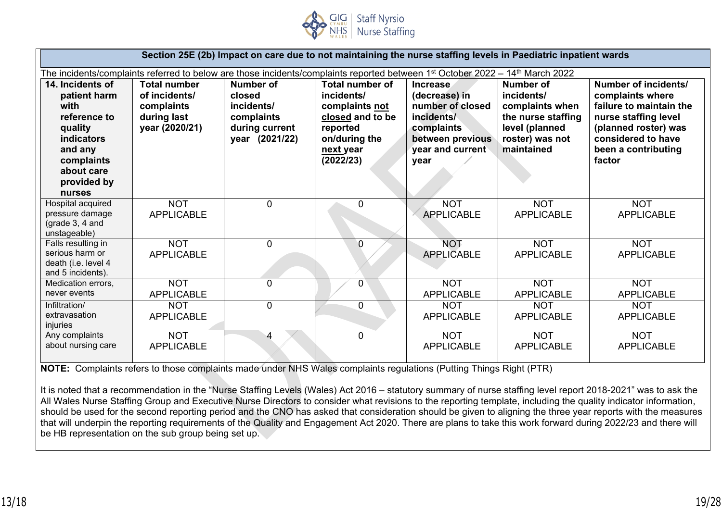

|                                                                                                                                                          | Section 25E (2b) Impact on care due to not maintaining the nurse staffing levels in Paediatric inpatient wards                                        |                                                                                     |                                                                                                                                   |                                                                                                                                  |                                                                                                                     |                                                                                                                                                                            |
|----------------------------------------------------------------------------------------------------------------------------------------------------------|-------------------------------------------------------------------------------------------------------------------------------------------------------|-------------------------------------------------------------------------------------|-----------------------------------------------------------------------------------------------------------------------------------|----------------------------------------------------------------------------------------------------------------------------------|---------------------------------------------------------------------------------------------------------------------|----------------------------------------------------------------------------------------------------------------------------------------------------------------------------|
|                                                                                                                                                          | The incidents/complaints referred to below are those incidents/complaints reported between 1 <sup>st</sup> October 2022 – 14 <sup>th</sup> March 2022 |                                                                                     |                                                                                                                                   |                                                                                                                                  |                                                                                                                     |                                                                                                                                                                            |
| 14. Incidents of<br>patient harm<br>with<br>reference to<br>quality<br><b>indicators</b><br>and any<br>complaints<br>about care<br>provided by<br>nurses | <b>Total number</b><br>of incidents/<br>complaints<br>during last<br>year (2020/21)                                                                   | Number of<br>closed<br>incidents/<br>complaints<br>during current<br>year (2021/22) | <b>Total number of</b><br>incidents/<br>complaints not<br>closed and to be<br>reported<br>on/during the<br>next year<br>(2022/23) | <b>Increase</b><br>(decrease) in<br>number of closed<br>incidents/<br>complaints<br>between previous<br>year and current<br>year | Number of<br>incidents/<br>complaints when<br>the nurse staffing<br>level (planned<br>roster) was not<br>maintained | Number of incidents/<br>complaints where<br>failure to maintain the<br>nurse staffing level<br>(planned roster) was<br>considered to have<br>been a contributing<br>factor |
| Hospital acquired<br>pressure damage<br>(grade $3, 4$ and<br>unstageable)                                                                                | <b>NOT</b><br><b>APPLICABLE</b>                                                                                                                       | $\mathbf{0}$                                                                        | 0                                                                                                                                 | <b>NOT</b><br><b>APPLICABLE</b>                                                                                                  | <b>NOT</b><br><b>APPLICABLE</b>                                                                                     | <b>NOT</b><br><b>APPLICABLE</b>                                                                                                                                            |
| Falls resulting in<br>serious harm or<br>death (i.e. level 4<br>and 5 incidents).                                                                        | <b>NOT</b><br><b>APPLICABLE</b>                                                                                                                       | $\Omega$                                                                            | 0                                                                                                                                 | <b>NOT</b><br><b>APPLICABLE</b>                                                                                                  | <b>NOT</b><br><b>APPLICABLE</b>                                                                                     | <b>NOT</b><br><b>APPLICABLE</b>                                                                                                                                            |
| Medication errors,<br>never events                                                                                                                       | <b>NOT</b><br><b>APPLICABLE</b>                                                                                                                       | $\mathbf{0}$                                                                        | 0                                                                                                                                 | <b>NOT</b><br><b>APPLICABLE</b>                                                                                                  | <b>NOT</b><br><b>APPLICABLE</b>                                                                                     | <b>NOT</b><br><b>APPLICABLE</b>                                                                                                                                            |
| Infiltration/<br>extravasation<br>injuries                                                                                                               | <b>NOT</b><br><b>APPLICABLE</b>                                                                                                                       | $\mathbf{0}$                                                                        | 0                                                                                                                                 | <b>NOT</b><br><b>APPLICABLE</b>                                                                                                  | <b>NOT</b><br><b>APPLICABLE</b>                                                                                     | <b>NOT</b><br><b>APPLICABLE</b>                                                                                                                                            |
| Any complaints<br>about nursing care                                                                                                                     | <b>NOT</b><br><b>APPLICABLE</b>                                                                                                                       | 4                                                                                   | $\mathbf{0}$                                                                                                                      | <b>NOT</b><br><b>APPLICABLE</b>                                                                                                  | <b>NOT</b><br><b>APPLICABLE</b>                                                                                     | <b>NOT</b><br><b>APPLICABLE</b>                                                                                                                                            |

**NOTE:** Complaints refers to those complaints made under NHS Wales complaints regulations (Putting Things Right (PTR)

It is noted that a recommendation in the "Nurse Staffing Levels (Wales) Act 2016 – statutory summary of nurse staffing level report 2018-2021" was to ask the All Wales Nurse Staffing Group and Executive Nurse Directors to consider what revisions to the reporting template, including the quality indicator information, should be used for the second reporting period and the CNO has asked that consideration should be given to aligning the three year reports with the measures that will underpin the reporting requirements of the Quality and Engagement Act 2020. There are plans to take this work forward during 2022/23 and there will be HB representation on the sub group being set up.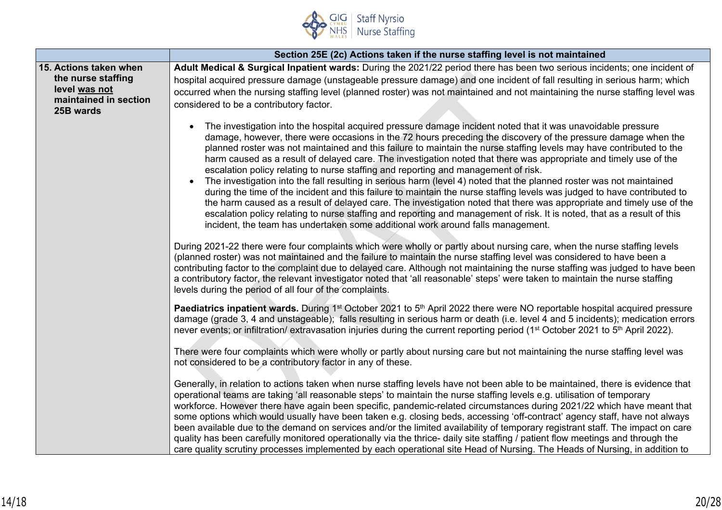

|                                                                                                     | Section 25E (2c) Actions taken if the nurse staffing level is not maintained                                                                                                                                                                                                                                                                                                                                                                                                                                                                                                                                                                                                                                                                                                                                                                                                                                                                                                                                                                                                                                                                                 |
|-----------------------------------------------------------------------------------------------------|--------------------------------------------------------------------------------------------------------------------------------------------------------------------------------------------------------------------------------------------------------------------------------------------------------------------------------------------------------------------------------------------------------------------------------------------------------------------------------------------------------------------------------------------------------------------------------------------------------------------------------------------------------------------------------------------------------------------------------------------------------------------------------------------------------------------------------------------------------------------------------------------------------------------------------------------------------------------------------------------------------------------------------------------------------------------------------------------------------------------------------------------------------------|
| 15. Actions taken when<br>the nurse staffing<br>level was not<br>maintained in section<br>25B wards | Adult Medical & Surgical Inpatient wards: During the 2021/22 period there has been two serious incidents; one incident of<br>hospital acquired pressure damage (unstageable pressure damage) and one incident of fall resulting in serious harm; which<br>occurred when the nursing staffing level (planned roster) was not maintained and not maintaining the nurse staffing level was<br>considered to be a contributory factor.                                                                                                                                                                                                                                                                                                                                                                                                                                                                                                                                                                                                                                                                                                                           |
|                                                                                                     | The investigation into the hospital acquired pressure damage incident noted that it was unavoidable pressure<br>damage, however, there were occasions in the 72 hours preceding the discovery of the pressure damage when the<br>planned roster was not maintained and this failure to maintain the nurse staffing levels may have contributed to the<br>harm caused as a result of delayed care. The investigation noted that there was appropriate and timely use of the<br>escalation policy relating to nurse staffing and reporting and management of risk.<br>The investigation into the fall resulting in serious harm (level 4) noted that the planned roster was not maintained<br>during the time of the incident and this failure to maintain the nurse staffing levels was judged to have contributed to<br>the harm caused as a result of delayed care. The investigation noted that there was appropriate and timely use of the<br>escalation policy relating to nurse staffing and reporting and management of risk. It is noted, that as a result of this<br>incident, the team has undertaken some additional work around falls management. |
|                                                                                                     | During 2021-22 there were four complaints which were wholly or partly about nursing care, when the nurse staffing levels<br>(planned roster) was not maintained and the failure to maintain the nurse staffing level was considered to have been a<br>contributing factor to the complaint due to delayed care. Although not maintaining the nurse staffing was judged to have been<br>a contributory factor, the relevant investigator noted that 'all reasonable' steps' were taken to maintain the nurse staffing<br>levels during the period of all four of the complaints.                                                                                                                                                                                                                                                                                                                                                                                                                                                                                                                                                                              |
|                                                                                                     | Paediatrics inpatient wards. During 1 <sup>st</sup> October 2021 to 5 <sup>th</sup> April 2022 there were NO reportable hospital acquired pressure<br>damage (grade 3, 4 and unstageable); falls resulting in serious harm or death (i.e. level 4 and 5 incidents); medication errors<br>never events; or infiltration/ extravasation injuries during the current reporting period (1 <sup>st</sup> October 2021 to 5 <sup>th</sup> April 2022).                                                                                                                                                                                                                                                                                                                                                                                                                                                                                                                                                                                                                                                                                                             |
|                                                                                                     | There were four complaints which were wholly or partly about nursing care but not maintaining the nurse staffing level was<br>not considered to be a contributory factor in any of these.                                                                                                                                                                                                                                                                                                                                                                                                                                                                                                                                                                                                                                                                                                                                                                                                                                                                                                                                                                    |
|                                                                                                     | Generally, in relation to actions taken when nurse staffing levels have not been able to be maintained, there is evidence that<br>operational teams are taking 'all reasonable steps' to maintain the nurse staffing levels e.g. utilisation of temporary<br>workforce. However there have again been specific, pandemic-related circumstances during 2021/22 which have meant that<br>some options which would usually have been taken e.g. closing beds, accessing 'off-contract' agency staff, have not always<br>been available due to the demand on services and/or the limited availability of temporary registrant staff. The impact on care<br>quality has been carefully monitored operationally via the thrice- daily site staffing / patient flow meetings and through the<br>care quality scrutiny processes implemented by each operational site Head of Nursing. The Heads of Nursing, in addition to                                                                                                                                                                                                                                          |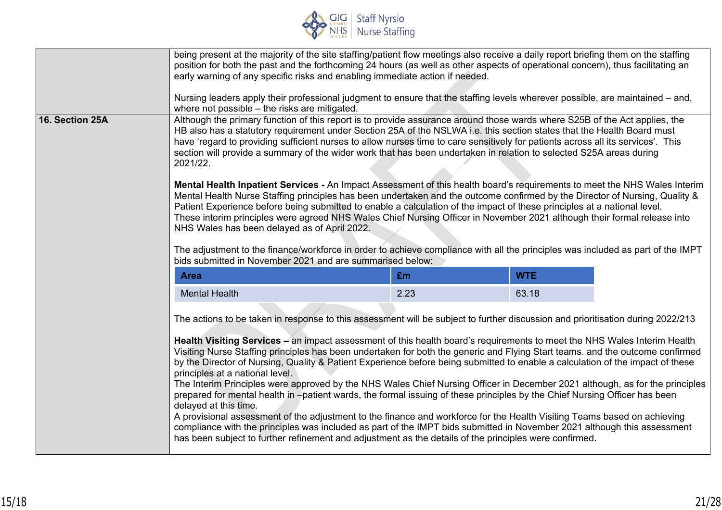

|                 | being present at the majority of the site staffing/patient flow meetings also receive a daily report briefing them on the staffing<br>position for both the past and the forthcoming 24 hours (as well as other aspects of operational concern), thus facilitating an<br>early warning of any specific risks and enabling immediate action if needed.<br>Nursing leaders apply their professional judgment to ensure that the staffing levels wherever possible, are maintained – and,<br>where not possible - the risks are mitigated.                                                                                                                                                                                                                                                                                                                                                                                                                                                                                                                                                                                                                                                                                                                                                         |      |       |  |  |
|-----------------|-------------------------------------------------------------------------------------------------------------------------------------------------------------------------------------------------------------------------------------------------------------------------------------------------------------------------------------------------------------------------------------------------------------------------------------------------------------------------------------------------------------------------------------------------------------------------------------------------------------------------------------------------------------------------------------------------------------------------------------------------------------------------------------------------------------------------------------------------------------------------------------------------------------------------------------------------------------------------------------------------------------------------------------------------------------------------------------------------------------------------------------------------------------------------------------------------------------------------------------------------------------------------------------------------|------|-------|--|--|
| 16. Section 25A | Although the primary function of this report is to provide assurance around those wards where S25B of the Act applies, the<br>HB also has a statutory requirement under Section 25A of the NSLWA i.e. this section states that the Health Board must<br>have 'regard to providing sufficient nurses to allow nurses time to care sensitively for patients across all its services'. This<br>section will provide a summary of the wider work that has been undertaken in relation to selected S25A areas during<br>2021/22.<br>Mental Health Inpatient Services - An Impact Assessment of this health board's requirements to meet the NHS Wales Interim<br>Mental Health Nurse Staffing principles has been undertaken and the outcome confirmed by the Director of Nursing, Quality &<br>Patient Experience before being submitted to enable a calculation of the impact of these principles at a national level.<br>These interim principles were agreed NHS Wales Chief Nursing Officer in November 2021 although their formal release into<br>NHS Wales has been delayed as of April 2022.<br>The adjustment to the finance/workforce in order to achieve compliance with all the principles was included as part of the IMPT<br>bids submitted in November 2021 and are summarised below: |      |       |  |  |
|                 | <b>WTE</b><br>£m<br><b>Area</b>                                                                                                                                                                                                                                                                                                                                                                                                                                                                                                                                                                                                                                                                                                                                                                                                                                                                                                                                                                                                                                                                                                                                                                                                                                                                 |      |       |  |  |
|                 | <b>Mental Health</b>                                                                                                                                                                                                                                                                                                                                                                                                                                                                                                                                                                                                                                                                                                                                                                                                                                                                                                                                                                                                                                                                                                                                                                                                                                                                            | 2.23 | 63.18 |  |  |
|                 | The actions to be taken in response to this assessment will be subject to further discussion and prioritisation during 2022/213<br>Health Visiting Services - an impact assessment of this health board's requirements to meet the NHS Wales Interim Health<br>Visiting Nurse Staffing principles has been undertaken for both the generic and Flying Start teams, and the outcome confirmed<br>by the Director of Nursing, Quality & Patient Experience before being submitted to enable a calculation of the impact of these<br>principles at a national level.<br>The Interim Principles were approved by the NHS Wales Chief Nursing Officer in December 2021 although, as for the principles<br>prepared for mental health in -patient wards, the formal issuing of these principles by the Chief Nursing Officer has been<br>delayed at this time.<br>A provisional assessment of the adjustment to the finance and workforce for the Health Visiting Teams based on achieving<br>compliance with the principles was included as part of the IMPT bids submitted in November 2021 although this assessment<br>has been subject to further refinement and adjustment as the details of the principles were confirmed.                                                                      |      |       |  |  |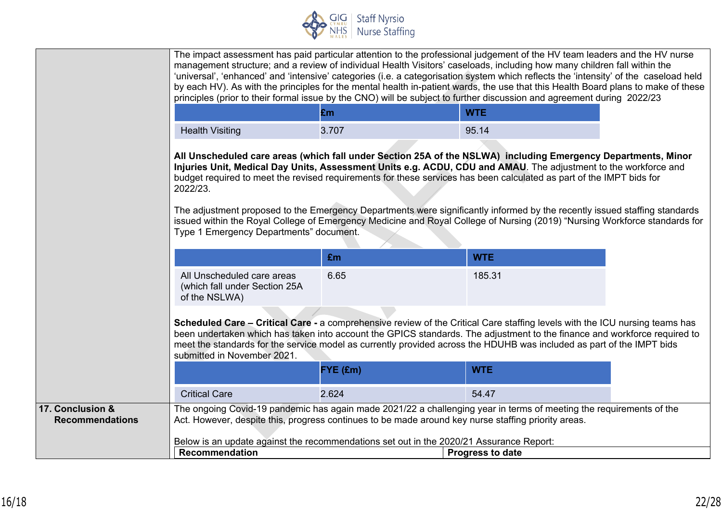

|                                            |                                                                                                                  |          | The impact assessment has paid particular attention to the professional judgement of the HV team leaders and the HV nurse<br>management structure; and a review of individual Health Visitors' caseloads, including how many children fall within the<br>'universal', 'enhanced' and 'intensive' categories (i.e. a categorisation system which reflects the 'intensity' of the caseload held<br>by each HV). As with the principles for the mental health in-patient wards, the use that this Health Board plans to make of these<br>principles (prior to their formal issue by the CNO) will be subject to further discussion and agreement during 2022/23 |  |
|--------------------------------------------|------------------------------------------------------------------------------------------------------------------|----------|--------------------------------------------------------------------------------------------------------------------------------------------------------------------------------------------------------------------------------------------------------------------------------------------------------------------------------------------------------------------------------------------------------------------------------------------------------------------------------------------------------------------------------------------------------------------------------------------------------------------------------------------------------------|--|
|                                            |                                                                                                                  | £m       | <b>WTE</b>                                                                                                                                                                                                                                                                                                                                                                                                                                                                                                                                                                                                                                                   |  |
|                                            | <b>Health Visiting</b>                                                                                           | 3.707    | 95.14                                                                                                                                                                                                                                                                                                                                                                                                                                                                                                                                                                                                                                                        |  |
|                                            | 2022/23.<br>Type 1 Emergency Departments" document.                                                              |          | All Unscheduled care areas (which fall under Section 25A of the NSLWA) including Emergency Departments, Minor<br>Injuries Unit, Medical Day Units, Assessment Units e.g. ACDU, CDU and AMAU. The adjustment to the workforce and<br>budget required to meet the revised requirements for these services has been calculated as part of the IMPT bids for<br>The adjustment proposed to the Emergency Departments were significantly informed by the recently issued staffing standards<br>issued within the Royal College of Emergency Medicine and Royal College of Nursing (2019) "Nursing Workforce standards for                                         |  |
|                                            |                                                                                                                  | £m       | <b>WTE</b>                                                                                                                                                                                                                                                                                                                                                                                                                                                                                                                                                                                                                                                   |  |
|                                            | All Unscheduled care areas<br>(which fall under Section 25A<br>of the NSLWA)                                     | 6.65     | 185.31                                                                                                                                                                                                                                                                                                                                                                                                                                                                                                                                                                                                                                                       |  |
|                                            | submitted in November 2021.                                                                                      |          | Scheduled Care - Critical Care - a comprehensive review of the Critical Care staffing levels with the ICU nursing teams has<br>been undertaken which has taken into account the GPICS standards. The adjustment to the finance and workforce required to<br>meet the standards for the service model as currently provided across the HDUHB was included as part of the IMPT bids                                                                                                                                                                                                                                                                            |  |
|                                            |                                                                                                                  | FYE (£m) | <b>WTE</b>                                                                                                                                                                                                                                                                                                                                                                                                                                                                                                                                                                                                                                                   |  |
|                                            | <b>Critical Care</b>                                                                                             | 2.624    | 54.47                                                                                                                                                                                                                                                                                                                                                                                                                                                                                                                                                                                                                                                        |  |
| 17. Conclusion &<br><b>Recommendations</b> | Act. However, despite this, progress continues to be made around key nurse staffing priority areas.              |          | The ongoing Covid-19 pandemic has again made 2021/22 a challenging year in terms of meeting the requirements of the                                                                                                                                                                                                                                                                                                                                                                                                                                                                                                                                          |  |
|                                            | Below is an update against the recommendations set out in the 2020/21 Assurance Report:<br><b>Recommendation</b> |          | Progress to date                                                                                                                                                                                                                                                                                                                                                                                                                                                                                                                                                                                                                                             |  |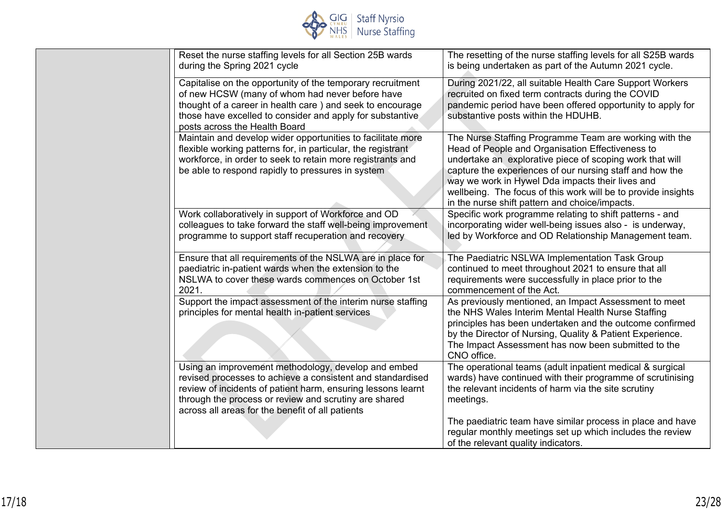

| Reset the nurse staffing levels for all Section 25B wards<br>during the Spring 2021 cycle                                                                                                                                                                                                      | The resetting of the nurse staffing levels for all S25B wards<br>is being undertaken as part of the Autumn 2021 cycle.                                                                                                                                                                                                                                                                                    |
|------------------------------------------------------------------------------------------------------------------------------------------------------------------------------------------------------------------------------------------------------------------------------------------------|-----------------------------------------------------------------------------------------------------------------------------------------------------------------------------------------------------------------------------------------------------------------------------------------------------------------------------------------------------------------------------------------------------------|
| Capitalise on the opportunity of the temporary recruitment<br>of new HCSW (many of whom had never before have<br>thought of a career in health care ) and seek to encourage<br>those have excelled to consider and apply for substantive<br>posts across the Health Board                      | During 2021/22, all suitable Health Care Support Workers<br>recruited on fixed term contracts during the COVID<br>pandemic period have been offered opportunity to apply for<br>substantive posts within the HDUHB.                                                                                                                                                                                       |
| Maintain and develop wider opportunities to facilitate more<br>flexible working patterns for, in particular, the registrant<br>workforce, in order to seek to retain more registrants and<br>be able to respond rapidly to pressures in system                                                 | The Nurse Staffing Programme Team are working with the<br>Head of People and Organisation Effectiveness to<br>undertake an explorative piece of scoping work that will<br>capture the experiences of our nursing staff and how the<br>way we work in Hywel Dda impacts their lives and<br>wellbeing. The focus of this work will be to provide insights<br>in the nurse shift pattern and choice/impacts. |
| Work collaboratively in support of Workforce and OD<br>colleagues to take forward the staff well-being improvement<br>programme to support staff recuperation and recovery                                                                                                                     | Specific work programme relating to shift patterns - and<br>incorporating wider well-being issues also - is underway,<br>led by Workforce and OD Relationship Management team.                                                                                                                                                                                                                            |
| Ensure that all requirements of the NSLWA are in place for<br>paediatric in-patient wards when the extension to the<br>NSLWA to cover these wards commences on October 1st<br>2021.                                                                                                            | The Paediatric NSLWA Implementation Task Group<br>continued to meet throughout 2021 to ensure that all<br>requirements were successfully in place prior to the<br>commencement of the Act.                                                                                                                                                                                                                |
| Support the impact assessment of the interim nurse staffing<br>principles for mental health in-patient services                                                                                                                                                                                | As previously mentioned, an Impact Assessment to meet<br>the NHS Wales Interim Mental Health Nurse Staffing<br>principles has been undertaken and the outcome confirmed<br>by the Director of Nursing, Quality & Patient Experience.<br>The Impact Assessment has now been submitted to the<br>CNO office.                                                                                                |
| Using an improvement methodology, develop and embed<br>revised processes to achieve a consistent and standardised<br>review of incidents of patient harm, ensuring lessons learnt<br>through the process or review and scrutiny are shared<br>across all areas for the benefit of all patients | The operational teams (adult inpatient medical & surgical<br>wards) have continued with their programme of scrutinising<br>the relevant incidents of harm via the site scrutiny<br>meetings.                                                                                                                                                                                                              |
|                                                                                                                                                                                                                                                                                                | The paediatric team have similar process in place and have<br>regular monthly meetings set up which includes the review<br>of the relevant quality indicators.                                                                                                                                                                                                                                            |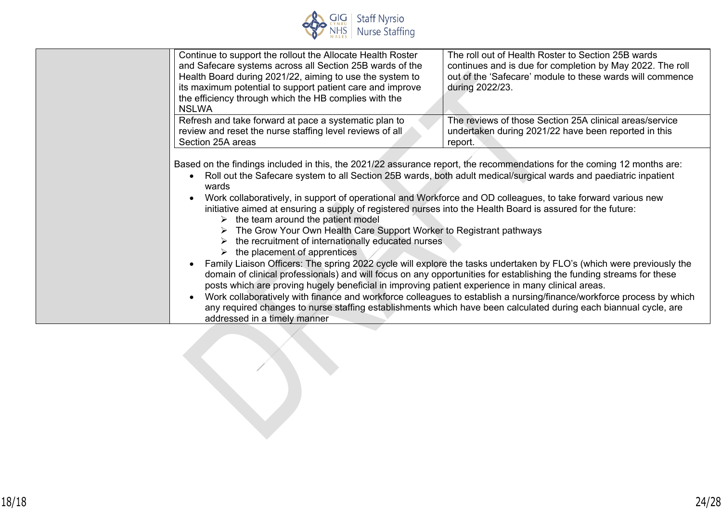

| Continue to support the rollout the Allocate Health Roster<br>and Safecare systems across all Section 25B wards of the<br>Health Board during 2021/22, aiming to use the system to<br>its maximum potential to support patient care and improve<br>the efficiency through which the HB complies with the<br><b>NSLWA</b>                                                                                                                                                                                                                                                                                                                                                                                    | The roll out of Health Roster to Section 25B wards<br>continues and is due for completion by May 2022. The roll<br>out of the 'Safecare' module to these wards will commence<br>during 2022/23.                                                                                                                                                                                                                                                                                                                                                                                                               |
|-------------------------------------------------------------------------------------------------------------------------------------------------------------------------------------------------------------------------------------------------------------------------------------------------------------------------------------------------------------------------------------------------------------------------------------------------------------------------------------------------------------------------------------------------------------------------------------------------------------------------------------------------------------------------------------------------------------|---------------------------------------------------------------------------------------------------------------------------------------------------------------------------------------------------------------------------------------------------------------------------------------------------------------------------------------------------------------------------------------------------------------------------------------------------------------------------------------------------------------------------------------------------------------------------------------------------------------|
| Refresh and take forward at pace a systematic plan to<br>review and reset the nurse staffing level reviews of all<br>Section 25A areas                                                                                                                                                                                                                                                                                                                                                                                                                                                                                                                                                                      | The reviews of those Section 25A clinical areas/service<br>undertaken during 2021/22 have been reported in this<br>report.                                                                                                                                                                                                                                                                                                                                                                                                                                                                                    |
| Based on the findings included in this, the 2021/22 assurance report, the recommendations for the coming 12 months are:<br>wards<br>Work collaboratively, in support of operational and Workforce and OD colleagues, to take forward various new<br>initiative aimed at ensuring a supply of registered nurses into the Health Board is assured for the future:<br>the team around the patient model<br>➤<br>The Grow Your Own Health Care Support Worker to Registrant pathways<br>the recruitment of internationally educated nurses<br>the placement of apprentices<br>posts which are proving hugely beneficial in improving patient experience in many clinical areas.<br>addressed in a timely manner | Roll out the Safecare system to all Section 25B wards, both adult medical/surgical wards and paediatric inpatient<br>Family Liaison Officers: The spring 2022 cycle will explore the tasks undertaken by FLO's (which were previously the<br>domain of clinical professionals) and will focus on any opportunities for establishing the funding streams for these<br>Work collaboratively with finance and workforce colleagues to establish a nursing/finance/workforce process by which<br>any required changes to nurse staffing establishments which have been calculated during each biannual cycle, are |

L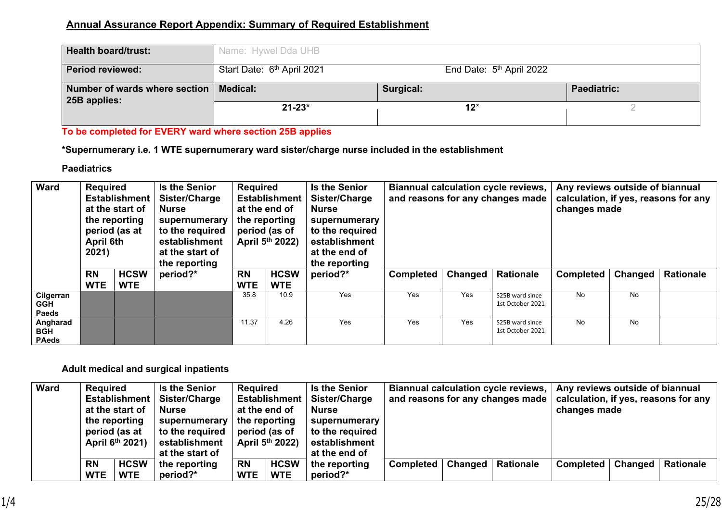## **Annual Assurance Report Appendix: Summary of Required Establishment**

| <b>Health board/trust:</b>                               | Name: Hywel Dda UHB                    |                                      |                    |  |  |  |  |
|----------------------------------------------------------|----------------------------------------|--------------------------------------|--------------------|--|--|--|--|
| <b>Period reviewed:</b>                                  | Start Date: 6 <sup>th</sup> April 2021 | End Date: 5 <sup>th</sup> April 2022 |                    |  |  |  |  |
| Number of wards where section   Medical:<br>25B applies: |                                        | Surgical:                            | <b>Paediatric:</b> |  |  |  |  |
|                                                          | $21 - 23*$                             | $12^{*}$                             |                    |  |  |  |  |

## **To be completed for EVERY ward where section 25B applies**

**\*Supernumerary i.e. 1 WTE supernumerary ward sister/charge nurse included in the establishment**

## **Paediatrics**

| Ward                             | <b>Required</b><br><b>Establishment</b><br>at the start of<br>the reporting<br>period (as at<br>April 6th<br>2021) |                           | <b>Is the Senior</b><br>Sister/Charge<br><b>Nurse</b><br>supernumerary<br>to the required<br>establishment<br>at the start of<br>the reporting |       | Required<br><b>Is the Senior</b><br><b>Establishment</b><br>Sister/Charge<br>at the end of<br>Nurse<br>the reporting<br>supernumerary<br>period (as of<br>to the required<br>April 5th 2022)<br>establishment<br>at the end of<br>the reporting |                           |          | Biannual calculation cycle reviews,<br>and reasons for any changes made | Any reviews outside of biannual<br>calculation, if yes, reasons for any<br>changes made |                  |                  |         |                  |
|----------------------------------|--------------------------------------------------------------------------------------------------------------------|---------------------------|------------------------------------------------------------------------------------------------------------------------------------------------|-------|-------------------------------------------------------------------------------------------------------------------------------------------------------------------------------------------------------------------------------------------------|---------------------------|----------|-------------------------------------------------------------------------|-----------------------------------------------------------------------------------------|------------------|------------------|---------|------------------|
|                                  | <b>RN</b><br><b>WTE</b>                                                                                            | <b>HCSW</b><br><b>WTE</b> | period?*                                                                                                                                       |       | <b>RN</b><br><b>WTE</b>                                                                                                                                                                                                                         | <b>HCSW</b><br><b>WTE</b> | period?* | <b>Completed</b>                                                        | Changed                                                                                 | <b>Rationale</b> | <b>Completed</b> | Changed | <b>Rationale</b> |
| Cilgerran<br>GGH<br><b>Paeds</b> |                                                                                                                    |                           |                                                                                                                                                | 35.8  | 10.9                                                                                                                                                                                                                                            | Yes                       | Yes      | Yes                                                                     | S25B ward since<br>1st October 2021                                                     | No               | <b>No</b>        |         |                  |
| Angharad<br>BGH<br><b>PAeds</b>  |                                                                                                                    |                           |                                                                                                                                                | 11.37 | 4.26                                                                                                                                                                                                                                            | Yes                       | Yes      | Yes                                                                     | S25B ward since<br>1st October 2021                                                     | No               | <b>No</b>        |         |                  |

## **Adult medical and surgical inpatients**

| <b>Ward</b> | <b>Required</b><br><b>Establishment</b><br>at the start of<br>the reporting<br>period (as at<br>April 6th 2021) |                           | <b>Is the Senior</b><br>Sister/Charge<br><b>Nurse</b><br>supernumerary<br>to the required<br>establishment | <b>Required</b>         | Establishment  <br>at the end of<br>the reporting<br>period (as of<br>April 5th 2022) | <b>Is the Senior</b><br>Sister/Charge<br><b>Nurse</b><br>supernumerary<br>to the required<br>establishment | and reasons for any changes made |                | <b>Biannual calculation cycle reviews,</b> | Any reviews outside of biannual<br>changes made |                | calculation, if yes, reasons for any |
|-------------|-----------------------------------------------------------------------------------------------------------------|---------------------------|------------------------------------------------------------------------------------------------------------|-------------------------|---------------------------------------------------------------------------------------|------------------------------------------------------------------------------------------------------------|----------------------------------|----------------|--------------------------------------------|-------------------------------------------------|----------------|--------------------------------------|
|             |                                                                                                                 |                           | at the start of                                                                                            |                         |                                                                                       | at the end of                                                                                              |                                  |                |                                            |                                                 |                |                                      |
|             | <b>RN</b><br><b>WTE</b>                                                                                         | <b>HCSW</b><br><b>WTE</b> | the reporting<br>period?*                                                                                  | <b>RN</b><br><b>WTE</b> | <b>HCSW</b><br><b>WTE</b>                                                             | the reporting<br>period?*                                                                                  | <b>Completed</b>                 | <b>Changed</b> | <b>Rationale</b>                           | Completed                                       | <b>Changed</b> | <b>Rationale</b>                     |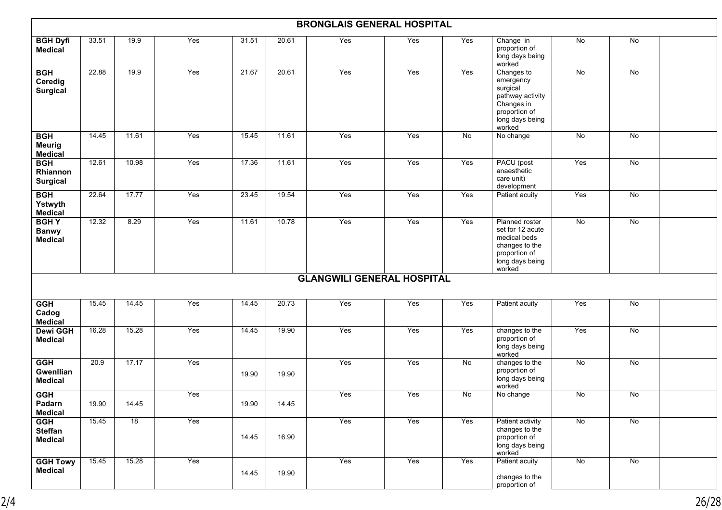|                                                | <b>BRONGLAIS GENERAL HOSPITAL</b> |                 |     |       |       |                                   |     |     |                                                                                                                     |                |                 |  |  |
|------------------------------------------------|-----------------------------------|-----------------|-----|-------|-------|-----------------------------------|-----|-----|---------------------------------------------------------------------------------------------------------------------|----------------|-----------------|--|--|
| <b>BGH Dyfi</b><br><b>Medical</b>              | 33.51                             | 19.9            | Yes | 31.51 | 20.61 | Yes                               | Yes | Yes | Change in<br>proportion of<br>long days being<br>worked                                                             | No             | No              |  |  |
| <b>BGH</b><br>Ceredig<br><b>Surgical</b>       | 22.88                             | 19.9            | Yes | 21.67 | 20.61 | Yes                               | Yes | Yes | Changes to<br>emergency<br>surgical<br>pathway activity<br>Changes in<br>proportion of<br>long days being<br>worked | No             | No              |  |  |
| <b>BGH</b><br><b>Meurig</b><br><b>Medical</b>  | 14.45                             | 11.61           | Yes | 15.45 | 11.61 | Yes                               | Yes | No  | No change                                                                                                           | No             | <b>No</b>       |  |  |
| <b>BGH</b><br>Rhiannon<br><b>Surgical</b>      | 12.61                             | 10.98           | Yes | 17.36 | 11.61 | Yes                               | Yes | Yes | PACU (post<br>anaesthetic<br>care unit)<br>development                                                              | Yes            | No              |  |  |
| <b>BGH</b><br>Ystwyth<br><b>Medical</b>        | 22.64                             | 17.77           | Yes | 23.45 | 19.54 | Yes                               | Yes | Yes | Patient acuity                                                                                                      | Yes            | No              |  |  |
| <b>BGHY</b><br><b>Banwy</b><br><b>Medical</b>  | 12.32                             | 8.29            | Yes | 11.61 | 10.78 | Yes                               | Yes | Yes | Planned roster<br>set for 12 acute<br>medical beds<br>changes to the<br>proportion of<br>long days being<br>worked  | No             | No              |  |  |
|                                                |                                   |                 |     |       |       | <b>GLANGWILI GENERAL HOSPITAL</b> |     |     |                                                                                                                     |                |                 |  |  |
| <b>GGH</b><br>Cadog<br><b>Medical</b>          | 15.45                             | 14.45           | Yes | 14.45 | 20.73 | Yes                               | Yes | Yes | Patient acuity                                                                                                      | Yes            | No              |  |  |
| <b>Dewi GGH</b><br><b>Medical</b>              | 16.28                             | 15.28           | Yes | 14.45 | 19.90 | Yes                               | Yes | Yes | changes to the<br>proportion of<br>long days being<br>worked                                                        | Yes            | $\overline{N}$  |  |  |
| <b>GGH</b><br>Gwenllian<br><b>Medical</b>      | 20.9                              | 17.17           | Yes | 19.90 | 19.90 | Yes                               | Yes | No  | changes to the<br>proportion of<br>long days being<br>worked                                                        | No             | No              |  |  |
| <b>GGH</b><br>Padarn<br><b>Medical</b>         | 19.90                             | 14.45           | Yes | 19.90 | 14.45 | Yes                               | Yes | No  | No change                                                                                                           | $\overline{N}$ | No              |  |  |
| <b>GGH</b><br><b>Steffan</b><br><b>Medical</b> | 15.45                             | $\overline{18}$ | Yes | 14.45 | 16.90 | Yes                               | Yes | Yes | Patient activity<br>changes to the<br>proportion of<br>long days being<br>worked                                    | No             | $\overline{No}$ |  |  |
| <b>GGH Towy</b><br><b>Medical</b>              | 15.45                             | 15.28           | Yes | 14.45 | 19.90 | Yes                               | Yes | Yes | Patient acuity<br>changes to the<br>proportion of                                                                   | No             | No              |  |  |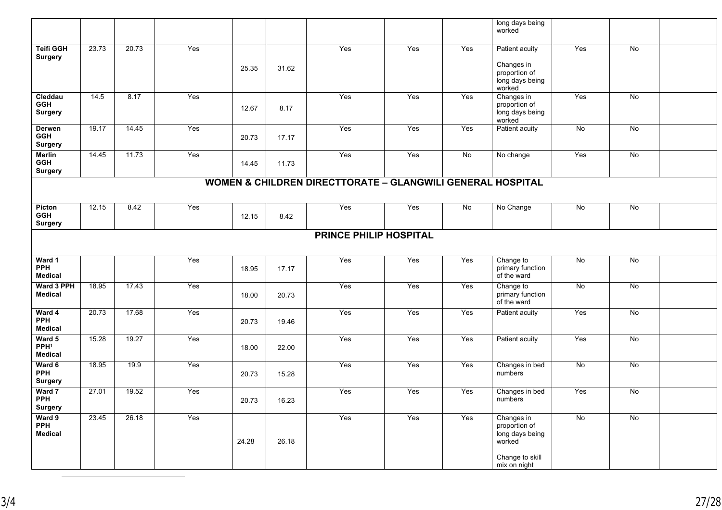|                                               |                                                            |       |     |       |       |                               |     |                | long days being<br>worked                                |                 |                 |  |  |  |
|-----------------------------------------------|------------------------------------------------------------|-------|-----|-------|-------|-------------------------------|-----|----------------|----------------------------------------------------------|-----------------|-----------------|--|--|--|
| <b>Teifi GGH</b><br><b>Surgery</b>            | 23.73                                                      | 20.73 | Yes |       |       | Yes                           | Yes | Yes            | Patient acuity                                           | Yes             | No              |  |  |  |
|                                               |                                                            |       |     | 25.35 | 31.62 |                               |     |                | Changes in<br>proportion of<br>long days being<br>worked |                 |                 |  |  |  |
| Cleddau<br><b>GGH</b><br><b>Surgery</b>       | 14.5                                                       | 8.17  | Yes | 12.67 | 8.17  | Yes                           | Yes | Yes            | Changes in<br>proportion of<br>long days being<br>worked | Yes             | No              |  |  |  |
| Derwen<br><b>GGH</b><br><b>Surgery</b>        | 19.17                                                      | 14.45 | Yes | 20.73 | 17.17 | Yes                           | Yes | Yes            | Patient acuity                                           | No              | No              |  |  |  |
| <b>Merlin</b><br><b>GGH</b><br><b>Surgery</b> | 14.45                                                      | 11.73 | Yes | 14.45 | 11.73 | Yes                           | Yes | $\overline{N}$ | No change                                                | Yes             | No              |  |  |  |
|                                               | WOMEN & CHILDREN DIRECTTORATE - GLANGWILI GENERAL HOSPITAL |       |     |       |       |                               |     |                |                                                          |                 |                 |  |  |  |
| Picton<br><b>GGH</b><br><b>Surgery</b>        | 12.15                                                      | 8.42  | Yes | 12.15 | 8.42  | Yes                           | Yes | $\overline{N}$ | No Change                                                | $\overline{No}$ | $\overline{No}$ |  |  |  |
|                                               |                                                            |       |     |       |       | <b>PRINCE PHILIP HOSPITAL</b> |     |                |                                                          |                 |                 |  |  |  |
| Ward 1<br><b>PPH</b><br><b>Medical</b>        |                                                            |       | Yes | 18.95 | 17.17 | Yes                           | Yes | Yes            | Change to<br>primary function<br>of the ward             | No              | No              |  |  |  |
| Ward 3 PPH<br><b>Medical</b>                  | 18.95                                                      | 17.43 | Yes | 18.00 | 20.73 | Yes                           | Yes | Yes            | Change to<br>primary function<br>of the ward             | No              | No              |  |  |  |
| Ward 4<br><b>PPH</b><br><b>Medical</b>        | 20.73                                                      | 17.68 | Yes | 20.73 | 19.46 | Yes                           | Yes | Yes            | Patient acuity                                           | Yes             | No              |  |  |  |
| Ward 5<br>PPH <sup>1</sup><br><b>Medical</b>  | 15.28                                                      | 19.27 | Yes | 18.00 | 22.00 | Yes                           | Yes | Yes            | Patient acuity                                           | Yes             | No              |  |  |  |
| Ward 6<br><b>PPH</b><br><b>Surgery</b>        | 18.95                                                      | 19.9  | Yes | 20.73 | 15.28 | Yes                           | Yes | Yes            | Changes in bed<br>numbers                                | No              | No              |  |  |  |
| Ward 7<br><b>PPH</b><br><b>Surgery</b>        | 27.01                                                      | 19.52 | Yes | 20.73 | 16.23 | Yes                           | Yes | Yes            | Changes in bed<br>numbers                                | Yes             | No              |  |  |  |
| Ward 9<br><b>PPH</b><br><b>Medical</b>        | 23.45                                                      | 26.18 | Yes | 24.28 | 26.18 | Yes                           | Yes | Yes            | Changes in<br>proportion of<br>long days being<br>worked | No              | $\overline{N}$  |  |  |  |
|                                               |                                                            |       |     |       |       |                               |     |                | Change to skill<br>mix on night                          |                 |                 |  |  |  |